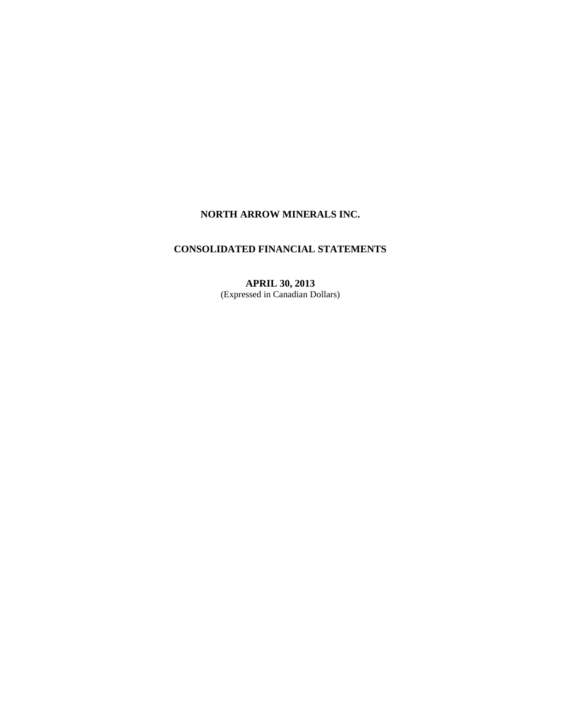# **NORTH ARROW MINERALS INC.**

# **CONSOLIDATED FINANCIAL STATEMENTS**

**APRIL 30, 2013**  (Expressed in Canadian Dollars)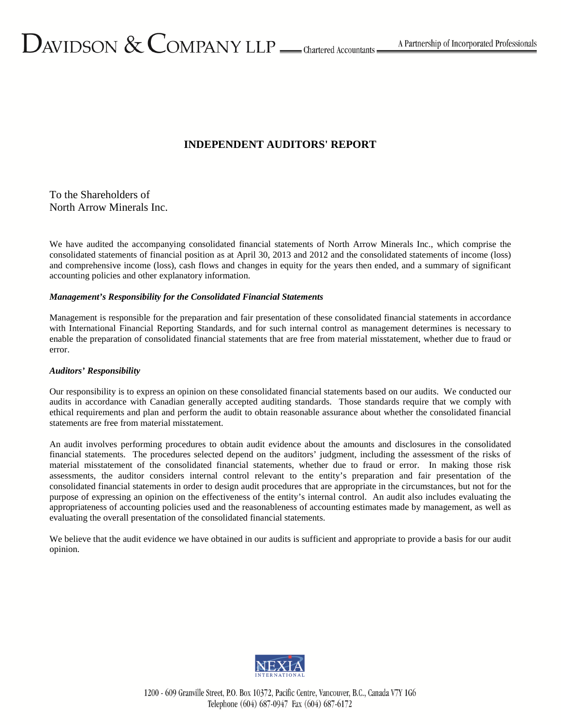# **INDEPENDENT AUDITORS' REPORT**

To the Shareholders of North Arrow Minerals Inc.

We have audited the accompanying consolidated financial statements of North Arrow Minerals Inc., which comprise the consolidated statements of financial position as at April 30, 2013 and 2012 and the consolidated statements of income (loss) and comprehensive income (loss), cash flows and changes in equity for the years then ended, and a summary of significant accounting policies and other explanatory information.

# *Management's Responsibility for the Consolidated Financial Statements*

Management is responsible for the preparation and fair presentation of these consolidated financial statements in accordance with International Financial Reporting Standards, and for such internal control as management determines is necessary to enable the preparation of consolidated financial statements that are free from material misstatement, whether due to fraud or error.

# *Auditors' Responsibility*

Our responsibility is to express an opinion on these consolidated financial statements based on our audits. We conducted our audits in accordance with Canadian generally accepted auditing standards. Those standards require that we comply with ethical requirements and plan and perform the audit to obtain reasonable assurance about whether the consolidated financial statements are free from material misstatement.

An audit involves performing procedures to obtain audit evidence about the amounts and disclosures in the consolidated financial statements. The procedures selected depend on the auditors' judgment, including the assessment of the risks of material misstatement of the consolidated financial statements, whether due to fraud or error. In making those risk assessments, the auditor considers internal control relevant to the entity's preparation and fair presentation of the consolidated financial statements in order to design audit procedures that are appropriate in the circumstances, but not for the purpose of expressing an opinion on the effectiveness of the entity's internal control. An audit also includes evaluating the appropriateness of accounting policies used and the reasonableness of accounting estimates made by management, as well as evaluating the overall presentation of the consolidated financial statements.

We believe that the audit evidence we have obtained in our audits is sufficient and appropriate to provide a basis for our audit opinion.



1200 - 609 Granville Street, P.O. Box 10372, Pacific Centre, Vancouver, B.C., Canada V7Y 1G6 Telephone (604) 687-0947 Fax (604) 687-6172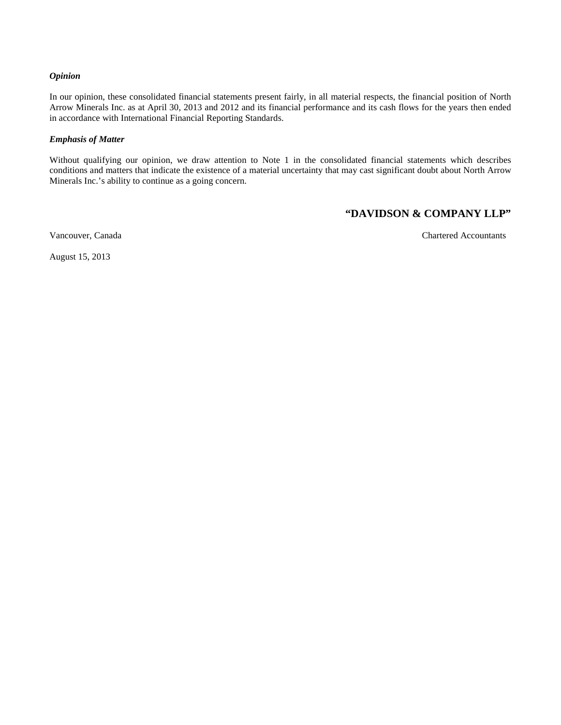# *Opinion*

In our opinion, these consolidated financial statements present fairly, in all material respects, the financial position of North Arrow Minerals Inc. as at April 30, 2013 and 2012 and its financial performance and its cash flows for the years then ended in accordance with International Financial Reporting Standards.

#### *Emphasis of Matter*

Without qualifying our opinion, we draw attention to Note 1 in the consolidated financial statements which describes conditions and matters that indicate the existence of a material uncertainty that may cast significant doubt about North Arrow Minerals Inc.'s ability to continue as a going concern.

# **"DAVIDSON & COMPANY LLP"**

Vancouver, Canada Chartered Accountants

August 15, 2013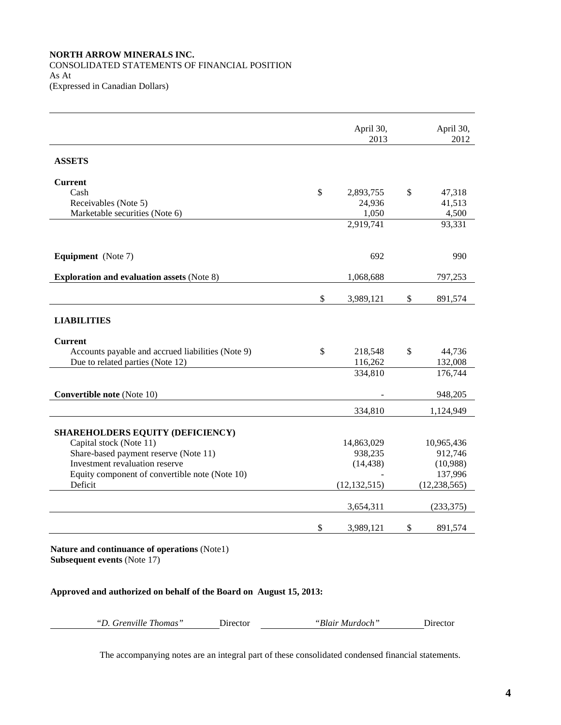# **NORTH ARROW MINERALS INC.**  CONSOLIDATED STATEMENTS OF FINANCIAL POSITION As At (Expressed in Canadian Dollars)

April 30, 2013 April 30, 2012 **ASSETS Current**  Cash  $\frac{1}{318}$  2,893,755 \$ 47,318 Receivables (Note 5)  $24,936$   $41,513$ Marketable securities (Note 6) 1,050 4,500 2,919,741 93,331 **Equipment** (Note 7) 692 990 **Exploration and evaluation assets** (Note 8) 1,068,688 797,253 \$ 3,989,121 \$ 891,574 **LIABILITIES Current**  Accounts payable and accrued liabilities (Note 9)  $\qquad$  \$ 218,548 \$ 44,736 Due to related parties (Note 12) 116,262 132,008 334,810 176,744 **Convertible note** (Note 10) **548,205** 334,810 1,124,949 **SHAREHOLDERS EQUITY (DEFICIENCY)**  Capital stock (Note 11) 14,863,029 10,965,436 Share-based payment reserve (Note 11) 938,235 912,746 Investment revaluation reserve (14,438) (10,988) Equity component of convertible note (Note 10)  $\qquad \qquad$  137,996 Deficit (12,132,515) (12,238,565) 3,654,311 (233,375) \$ 3,989,121 \$ 891,574

**Nature and continuance of operations** (Note1) **Subsequent events** (Note 17)

**Approved and authorized on behalf of the Board on August 15, 2013:**

*"D. Grenville Thomas"* Director *"Blair Murdoch"* Director

The accompanying notes are an integral part of these consolidated condensed financial statements.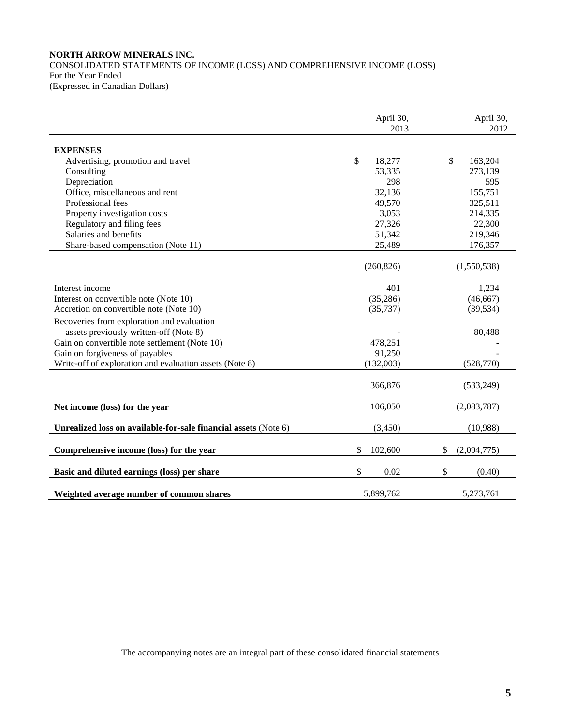# **NORTH ARROW MINERALS INC.**  CONSOLIDATED STATEMENTS OF INCOME (LOSS) AND COMPREHENSIVE INCOME (LOSS) For the Year Ended

(Expressed in Canadian Dollars)

|                                                                 | April 30,<br>2013 | April 30,<br>2012 |
|-----------------------------------------------------------------|-------------------|-------------------|
| <b>EXPENSES</b>                                                 |                   |                   |
| Advertising, promotion and travel                               | \$<br>18,277      | \$<br>163,204     |
| Consulting                                                      | 53,335            | 273,139           |
| Depreciation                                                    | 298               | 595               |
| Office, miscellaneous and rent                                  | 32,136            | 155,751           |
| Professional fees                                               | 49,570            | 325,511           |
| Property investigation costs                                    | 3,053             | 214,335           |
| Regulatory and filing fees                                      | 27,326            | 22,300            |
| Salaries and benefits                                           | 51,342            | 219,346           |
| Share-based compensation (Note 11)                              | 25,489            | 176,357           |
|                                                                 | (260, 826)        | (1,550,538)       |
|                                                                 |                   |                   |
| Interest income                                                 | 401               | 1,234             |
| Interest on convertible note (Note 10)                          | (35, 286)         | (46, 667)         |
| Accretion on convertible note (Note 10)                         | (35, 737)         | (39, 534)         |
| Recoveries from exploration and evaluation                      |                   |                   |
| assets previously written-off (Note 8)                          |                   | 80,488            |
| Gain on convertible note settlement (Note 10)                   | 478,251           |                   |
| Gain on forgiveness of payables                                 | 91,250            |                   |
| Write-off of exploration and evaluation assets (Note 8)         | (132,003)         | (528,770)         |
|                                                                 |                   |                   |
|                                                                 | 366,876           | (533,249)         |
| Net income (loss) for the year                                  | 106,050           | (2,083,787)       |
| Unrealized loss on available-for-sale financial assets (Note 6) | (3,450)           | (10,988)          |
| Comprehensive income (loss) for the year                        | \$<br>102,600     | \$<br>(2,094,775) |
| Basic and diluted earnings (loss) per share                     | \$<br>0.02        | \$<br>(0.40)      |
| Weighted average number of common shares                        | 5,899,762         | 5,273,761         |

The accompanying notes are an integral part of these consolidated financial statements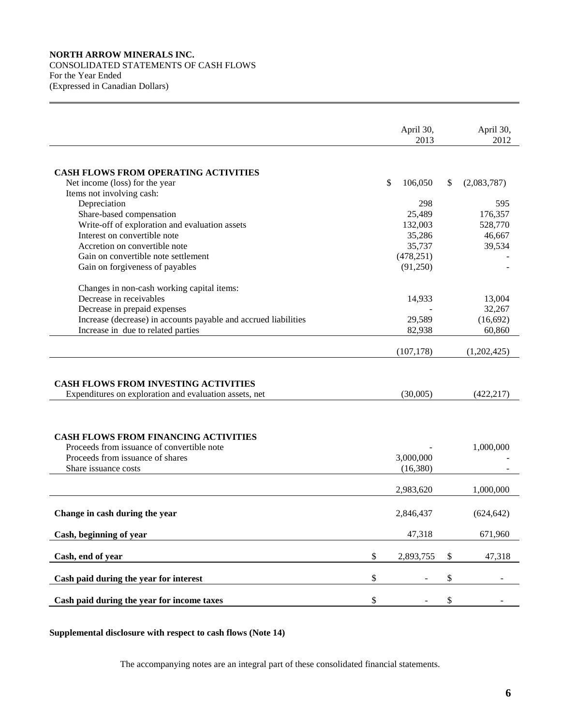# **NORTH ARROW MINERALS INC.**  CONSOLIDATED STATEMENTS OF CASH FLOWS For the Year Ended (Expressed in Canadian Dollars)

|                                                                                                       | April 30,       | April 30,         |
|-------------------------------------------------------------------------------------------------------|-----------------|-------------------|
|                                                                                                       | 2013            | 2012              |
|                                                                                                       |                 |                   |
| CASH FLOWS FROM OPERATING ACTIVITIES                                                                  |                 |                   |
| Net income (loss) for the year                                                                        | \$<br>106,050   | \$<br>(2,083,787) |
| Items not involving cash:                                                                             |                 |                   |
| Depreciation                                                                                          | 298             | 595               |
| Share-based compensation                                                                              | 25,489          | 176,357           |
| Write-off of exploration and evaluation assets                                                        | 132,003         | 528,770           |
| Interest on convertible note                                                                          | 35,286          | 46,667            |
| Accretion on convertible note                                                                         | 35,737          | 39,534            |
| Gain on convertible note settlement                                                                   | (478, 251)      |                   |
| Gain on forgiveness of payables                                                                       | (91,250)        |                   |
| Changes in non-cash working capital items:                                                            |                 |                   |
| Decrease in receivables                                                                               | 14,933          | 13,004            |
| Decrease in prepaid expenses                                                                          |                 | 32,267            |
| Increase (decrease) in accounts payable and accrued liabilities                                       | 29,589          | (16,692)          |
| Increase in due to related parties                                                                    | 82,938          | 60,860            |
|                                                                                                       |                 |                   |
|                                                                                                       | (107, 178)      | (1,202,425)       |
| <b>CASH FLOWS FROM INVESTING ACTIVITIES</b><br>Expenditures on exploration and evaluation assets, net | (30,005)        | (422, 217)        |
|                                                                                                       |                 |                   |
| <b>CASH FLOWS FROM FINANCING ACTIVITIES</b>                                                           |                 |                   |
| Proceeds from issuance of convertible note                                                            |                 | 1,000,000         |
| Proceeds from issuance of shares                                                                      | 3,000,000       |                   |
| Share issuance costs                                                                                  | (16,380)        |                   |
|                                                                                                       |                 |                   |
|                                                                                                       |                 |                   |
|                                                                                                       | 2,983,620       | 1,000,000         |
| Change in cash during the year                                                                        | 2,846,437       | (624, 642)        |
| Cash, beginning of year                                                                               | 47,318          | 671,960           |
|                                                                                                       |                 |                   |
| Cash, end of year                                                                                     | \$<br>2,893,755 | \$<br>47,318      |
| Cash paid during the year for interest                                                                | \$              | \$                |

**Supplemental disclosure with respect to cash flows (Note 14)**

The accompanying notes are an integral part of these consolidated financial statements.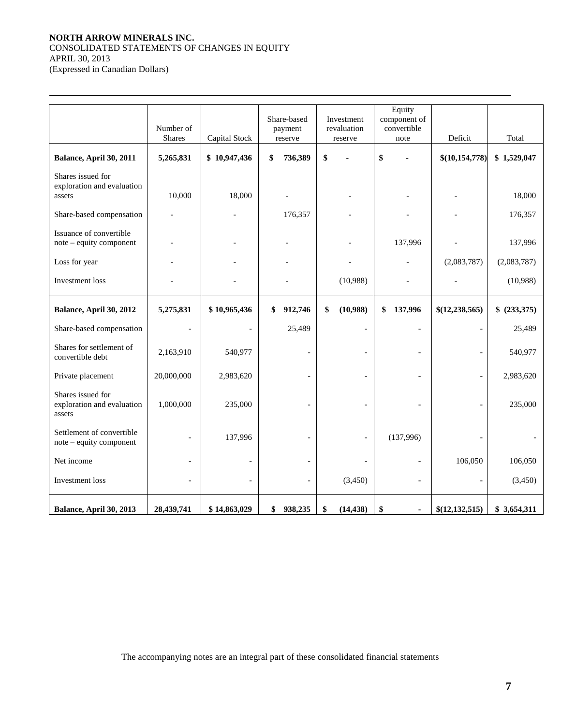# **NORTH ARROW MINERALS INC.**  CONSOLIDATED STATEMENTS OF CHANGES IN EQUITY APRIL 30, 2013

(Expressed in Canadian Dollars)

 $\overline{a}$ 

|                                                           |                |                          | Share-based   | Investment               | Equity<br>component of |                          |              |
|-----------------------------------------------------------|----------------|--------------------------|---------------|--------------------------|------------------------|--------------------------|--------------|
|                                                           | Number of      |                          | payment       | revaluation              | convertible            |                          |              |
|                                                           | <b>Shares</b>  | Capital Stock            | reserve       | reserve                  | note                   | Deficit                  | Total        |
| Balance, April 30, 2011                                   | 5,265,831      | \$10,947,436             | \$<br>736,389 | \$                       | \$                     | \$(10,154,778)           | \$1,529,047  |
| Shares issued for<br>exploration and evaluation<br>assets | 10,000         | 18,000                   |               |                          |                        |                          | 18,000       |
| Share-based compensation                                  |                |                          | 176,357       |                          |                        |                          | 176,357      |
| Issuance of convertible<br>note – equity component        |                |                          |               |                          | 137,996                |                          | 137,996      |
| Loss for year                                             |                |                          |               |                          |                        | (2,083,787)              | (2,083,787)  |
| Investment loss                                           |                |                          |               | (10,988)                 |                        |                          | (10,988)     |
| Balance, April 30, 2012                                   | 5,275,831      | \$10,965,436             | 912,746<br>\$ | \$<br>(10,988)           | 137,996<br>\$          | \$(12, 238, 565)         | \$ (233,375) |
| Share-based compensation                                  |                |                          | 25,489        | $\overline{\phantom{a}}$ |                        | $\overline{a}$           | 25,489       |
| Shares for settlement of<br>convertible debt              | 2,163,910      | 540,977                  |               |                          |                        |                          | 540,977      |
| Private placement                                         | 20,000,000     | 2,983,620                |               |                          |                        |                          | 2,983,620    |
| Shares issued for<br>exploration and evaluation<br>assets | 1,000,000      | 235,000                  |               |                          |                        | $\overline{\phantom{0}}$ | 235,000      |
| Settlement of convertible<br>note - equity component      |                | 137,996                  |               |                          | (137,996)              |                          |              |
| Net income                                                | $\overline{a}$ | $\overline{\phantom{a}}$ |               |                          |                        | 106,050                  | 106,050      |
| Investment loss                                           |                |                          |               | (3,450)                  |                        |                          | (3,450)      |
| Balance, April 30, 2013                                   | 28,439,741     | \$14,863,029             | 938,235<br>\$ | (14, 438)<br>\$          | \$<br>٠                | \$(12,132,515)           | \$3,654,311  |

The accompanying notes are an integral part of these consolidated financial statements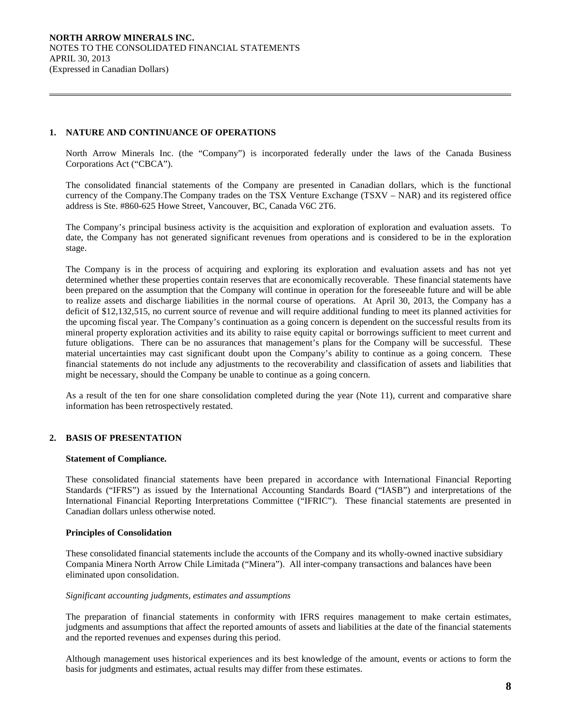# **1. NATURE AND CONTINUANCE OF OPERATIONS**

 $\overline{a}$ 

North Arrow Minerals Inc. (the "Company") is incorporated federally under the laws of the Canada Business Corporations Act ("CBCA").

The consolidated financial statements of the Company are presented in Canadian dollars, which is the functional currency of the Company.The Company trades on the TSX Venture Exchange (TSXV – NAR) and its registered office address is Ste. #860-625 Howe Street, Vancouver, BC, Canada V6C 2T6.

 The Company's principal business activity is the acquisition and exploration of exploration and evaluation assets. To date, the Company has not generated significant revenues from operations and is considered to be in the exploration stage.

The Company is in the process of acquiring and exploring its exploration and evaluation assets and has not yet determined whether these properties contain reserves that are economically recoverable. These financial statements have been prepared on the assumption that the Company will continue in operation for the foreseeable future and will be able to realize assets and discharge liabilities in the normal course of operations. At April 30, 2013, the Company has a deficit of \$12,132,515, no current source of revenue and will require additional funding to meet its planned activities for the upcoming fiscal year. The Company's continuation as a going concern is dependent on the successful results from its mineral property exploration activities and its ability to raise equity capital or borrowings sufficient to meet current and future obligations. There can be no assurances that management's plans for the Company will be successful. These material uncertainties may cast significant doubt upon the Company's ability to continue as a going concern. These financial statements do not include any adjustments to the recoverability and classification of assets and liabilities that might be necessary, should the Company be unable to continue as a going concern.

As a result of the ten for one share consolidation completed during the year (Note 11), current and comparative share information has been retrospectively restated.

# **2. BASIS OF PRESENTATION**

#### **Statement of Compliance.**

These consolidated financial statements have been prepared in accordance with International Financial Reporting Standards ("IFRS") as issued by the International Accounting Standards Board ("IASB") and interpretations of the International Financial Reporting Interpretations Committee ("IFRIC"). These financial statements are presented in Canadian dollars unless otherwise noted.

#### **Principles of Consolidation**

These consolidated financial statements include the accounts of the Company and its wholly-owned inactive subsidiary Compania Minera North Arrow Chile Limitada ("Minera"). All inter-company transactions and balances have been eliminated upon consolidation.

# *Significant accounting judgments, estimates and assumptions*

The preparation of financial statements in conformity with IFRS requires management to make certain estimates, judgments and assumptions that affect the reported amounts of assets and liabilities at the date of the financial statements and the reported revenues and expenses during this period.

Although management uses historical experiences and its best knowledge of the amount, events or actions to form the basis for judgments and estimates, actual results may differ from these estimates.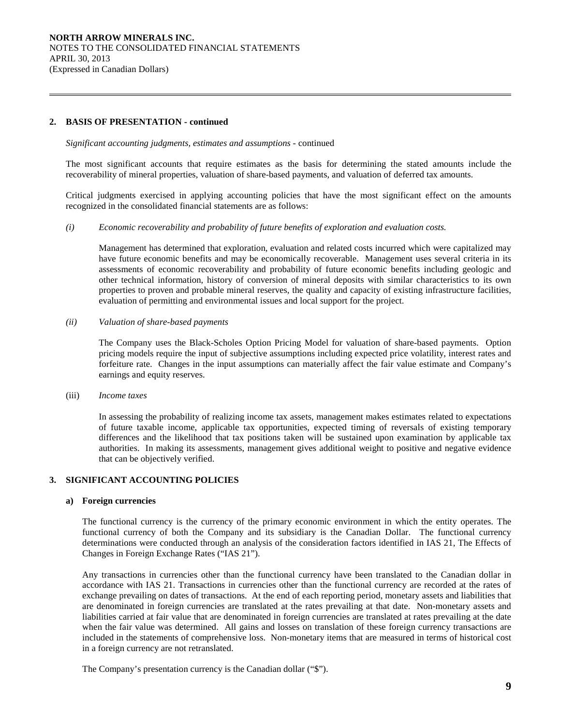# **2. BASIS OF PRESENTATION - continued**

 $\overline{a}$ 

#### *Significant accounting judgments, estimates and assumptions -* continued

The most significant accounts that require estimates as the basis for determining the stated amounts include the recoverability of mineral properties, valuation of share-based payments, and valuation of deferred tax amounts.

Critical judgments exercised in applying accounting policies that have the most significant effect on the amounts recognized in the consolidated financial statements are as follows:

*(i) Economic recoverability and probability of future benefits of exploration and evaluation costs.* 

 Management has determined that exploration, evaluation and related costs incurred which were capitalized may have future economic benefits and may be economically recoverable. Management uses several criteria in its assessments of economic recoverability and probability of future economic benefits including geologic and other technical information, history of conversion of mineral deposits with similar characteristics to its own properties to proven and probable mineral reserves, the quality and capacity of existing infrastructure facilities, evaluation of permitting and environmental issues and local support for the project.

*(ii) Valuation of share-based payments* 

The Company uses the Black-Scholes Option Pricing Model for valuation of share-based payments. Option pricing models require the input of subjective assumptions including expected price volatility, interest rates and forfeiture rate. Changes in the input assumptions can materially affect the fair value estimate and Company's earnings and equity reserves.

(iii) *Income taxes*

In assessing the probability of realizing income tax assets, management makes estimates related to expectations of future taxable income, applicable tax opportunities, expected timing of reversals of existing temporary differences and the likelihood that tax positions taken will be sustained upon examination by applicable tax authorities. In making its assessments, management gives additional weight to positive and negative evidence that can be objectively verified.

#### **3. SIGNIFICANT ACCOUNTING POLICIES**

#### **a) Foreign currencies**

 The functional currency is the currency of the primary economic environment in which the entity operates. The functional currency of both the Company and its subsidiary is the Canadian Dollar. The functional currency determinations were conducted through an analysis of the consideration factors identified in IAS 21, The Effects of Changes in Foreign Exchange Rates ("IAS 21").

 Any transactions in currencies other than the functional currency have been translated to the Canadian dollar in accordance with IAS 21. Transactions in currencies other than the functional currency are recorded at the rates of exchange prevailing on dates of transactions. At the end of each reporting period, monetary assets and liabilities that are denominated in foreign currencies are translated at the rates prevailing at that date. Non-monetary assets and liabilities carried at fair value that are denominated in foreign currencies are translated at rates prevailing at the date when the fair value was determined. All gains and losses on translation of these foreign currency transactions are included in the statements of comprehensive loss. Non-monetary items that are measured in terms of historical cost in a foreign currency are not retranslated.

The Company's presentation currency is the Canadian dollar ("\$").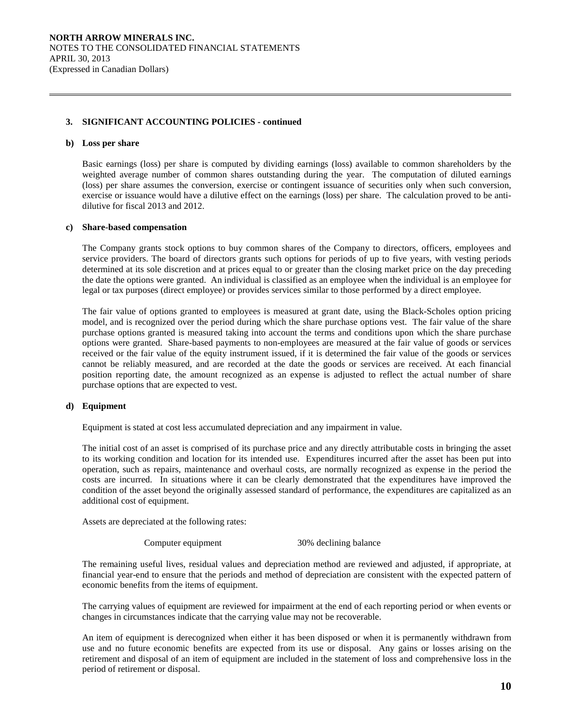# **3. SIGNIFICANT ACCOUNTING POLICIES - continued**

#### **b) Loss per share**

 $\overline{a}$ 

 Basic earnings (loss) per share is computed by dividing earnings (loss) available to common shareholders by the weighted average number of common shares outstanding during the year. The computation of diluted earnings (loss) per share assumes the conversion, exercise or contingent issuance of securities only when such conversion, exercise or issuance would have a dilutive effect on the earnings (loss) per share. The calculation proved to be antidilutive for fiscal 2013 and 2012.

#### **c) Share-based compensation**

 The Company grants stock options to buy common shares of the Company to directors, officers, employees and service providers. The board of directors grants such options for periods of up to five years, with vesting periods determined at its sole discretion and at prices equal to or greater than the closing market price on the day preceding the date the options were granted. An individual is classified as an employee when the individual is an employee for legal or tax purposes (direct employee) or provides services similar to those performed by a direct employee.

 The fair value of options granted to employees is measured at grant date, using the Black-Scholes option pricing model, and is recognized over the period during which the share purchase options vest. The fair value of the share purchase options granted is measured taking into account the terms and conditions upon which the share purchase options were granted. Share-based payments to non-employees are measured at the fair value of goods or services received or the fair value of the equity instrument issued, if it is determined the fair value of the goods or services cannot be reliably measured, and are recorded at the date the goods or services are received. At each financial position reporting date, the amount recognized as an expense is adjusted to reflect the actual number of share purchase options that are expected to vest.

#### **d) Equipment**

Equipment is stated at cost less accumulated depreciation and any impairment in value.

 The initial cost of an asset is comprised of its purchase price and any directly attributable costs in bringing the asset to its working condition and location for its intended use. Expenditures incurred after the asset has been put into operation, such as repairs, maintenance and overhaul costs, are normally recognized as expense in the period the costs are incurred. In situations where it can be clearly demonstrated that the expenditures have improved the condition of the asset beyond the originally assessed standard of performance, the expenditures are capitalized as an additional cost of equipment.

Assets are depreciated at the following rates:

Computer equipment 30% declining balance

 The remaining useful lives, residual values and depreciation method are reviewed and adjusted, if appropriate, at financial year-end to ensure that the periods and method of depreciation are consistent with the expected pattern of economic benefits from the items of equipment.

 The carrying values of equipment are reviewed for impairment at the end of each reporting period or when events or changes in circumstances indicate that the carrying value may not be recoverable.

 An item of equipment is derecognized when either it has been disposed or when it is permanently withdrawn from use and no future economic benefits are expected from its use or disposal. Any gains or losses arising on the retirement and disposal of an item of equipment are included in the statement of loss and comprehensive loss in the period of retirement or disposal.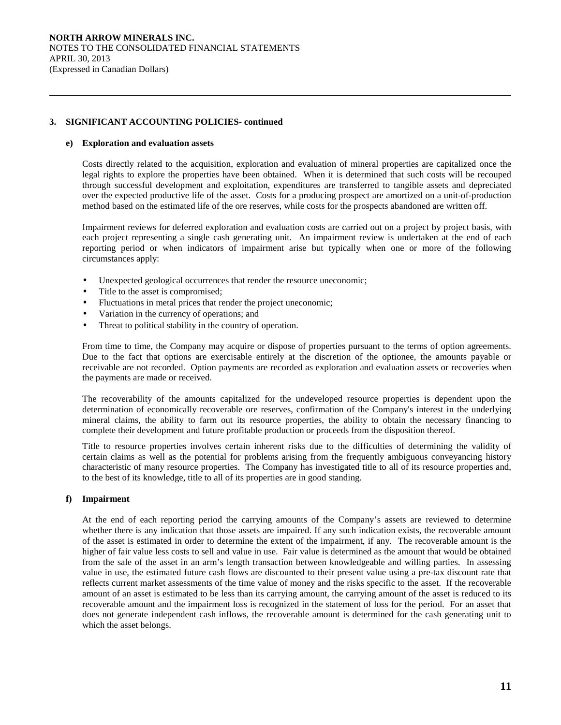# **3. SIGNIFICANT ACCOUNTING POLICIES- continued**

#### **e) Exploration and evaluation assets**

 $\overline{a}$ 

 Costs directly related to the acquisition, exploration and evaluation of mineral properties are capitalized once the legal rights to explore the properties have been obtained. When it is determined that such costs will be recouped through successful development and exploitation, expenditures are transferred to tangible assets and depreciated over the expected productive life of the asset. Costs for a producing prospect are amortized on a unit-of-production method based on the estimated life of the ore reserves, while costs for the prospects abandoned are written off.

 Impairment reviews for deferred exploration and evaluation costs are carried out on a project by project basis, with each project representing a single cash generating unit. An impairment review is undertaken at the end of each reporting period or when indicators of impairment arise but typically when one or more of the following circumstances apply:

- Unexpected geological occurrences that render the resource uneconomic;
- Title to the asset is compromised;
- Fluctuations in metal prices that render the project uneconomic;
- Variation in the currency of operations; and
- Threat to political stability in the country of operation.

 From time to time, the Company may acquire or dispose of properties pursuant to the terms of option agreements. Due to the fact that options are exercisable entirely at the discretion of the optionee, the amounts payable or receivable are not recorded. Option payments are recorded as exploration and evaluation assets or recoveries when the payments are made or received.

 The recoverability of the amounts capitalized for the undeveloped resource properties is dependent upon the determination of economically recoverable ore reserves, confirmation of the Company's interest in the underlying mineral claims, the ability to farm out its resource properties, the ability to obtain the necessary financing to complete their development and future profitable production or proceeds from the disposition thereof.

 Title to resource properties involves certain inherent risks due to the difficulties of determining the validity of certain claims as well as the potential for problems arising from the frequently ambiguous conveyancing history characteristic of many resource properties. The Company has investigated title to all of its resource properties and, to the best of its knowledge, title to all of its properties are in good standing.

# **f) Impairment**

 At the end of each reporting period the carrying amounts of the Company's assets are reviewed to determine whether there is any indication that those assets are impaired. If any such indication exists, the recoverable amount of the asset is estimated in order to determine the extent of the impairment, if any. The recoverable amount is the higher of fair value less costs to sell and value in use. Fair value is determined as the amount that would be obtained from the sale of the asset in an arm's length transaction between knowledgeable and willing parties. In assessing value in use, the estimated future cash flows are discounted to their present value using a pre-tax discount rate that reflects current market assessments of the time value of money and the risks specific to the asset. If the recoverable amount of an asset is estimated to be less than its carrying amount, the carrying amount of the asset is reduced to its recoverable amount and the impairment loss is recognized in the statement of loss for the period. For an asset that does not generate independent cash inflows, the recoverable amount is determined for the cash generating unit to which the asset belongs.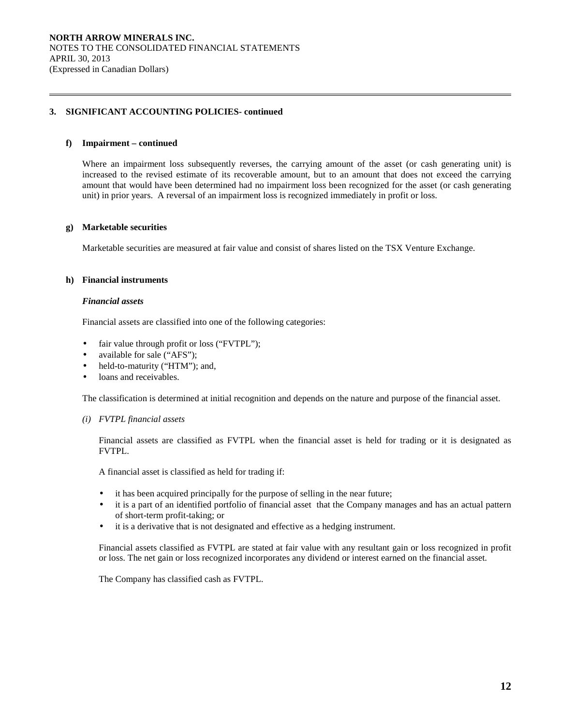# **3. SIGNIFICANT ACCOUNTING POLICIES- continued**

#### **f) Impairment – continued**

 $\overline{a}$ 

 Where an impairment loss subsequently reverses, the carrying amount of the asset (or cash generating unit) is increased to the revised estimate of its recoverable amount, but to an amount that does not exceed the carrying amount that would have been determined had no impairment loss been recognized for the asset (or cash generating unit) in prior years. A reversal of an impairment loss is recognized immediately in profit or loss.

# **g) Marketable securities**

Marketable securities are measured at fair value and consist of shares listed on the TSX Venture Exchange.

#### **h) Financial instruments**

#### *Financial assets*

Financial assets are classified into one of the following categories:

- fair value through profit or loss ("FVTPL");
- available for sale ("AFS");
- held-to-maturity ("HTM"); and,
- loans and receivables.

The classification is determined at initial recognition and depends on the nature and purpose of the financial asset.

#### *(i) FVTPL financial assets*

Financial assets are classified as FVTPL when the financial asset is held for trading or it is designated as FVTPL.

A financial asset is classified as held for trading if:

- it has been acquired principally for the purpose of selling in the near future;
- it is a part of an identified portfolio of financial asset that the Company manages and has an actual pattern of short-term profit-taking; or
- it is a derivative that is not designated and effective as a hedging instrument.

 Financial assets classified as FVTPL are stated at fair value with any resultant gain or loss recognized in profit or loss. The net gain or loss recognized incorporates any dividend or interest earned on the financial asset.

The Company has classified cash as FVTPL.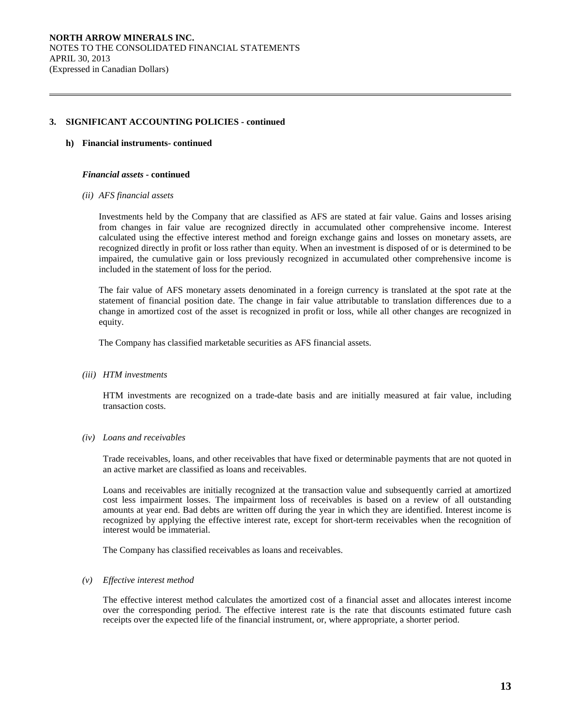# **3. SIGNIFICANT ACCOUNTING POLICIES - continued**

#### **h) Financial instruments- continued**

 $\overline{a}$ 

#### *Financial assets* **- continued**

#### *(ii) AFS financial assets*

 Investments held by the Company that are classified as AFS are stated at fair value. Gains and losses arising from changes in fair value are recognized directly in accumulated other comprehensive income. Interest calculated using the effective interest method and foreign exchange gains and losses on monetary assets, are recognized directly in profit or loss rather than equity. When an investment is disposed of or is determined to be impaired, the cumulative gain or loss previously recognized in accumulated other comprehensive income is included in the statement of loss for the period.

 The fair value of AFS monetary assets denominated in a foreign currency is translated at the spot rate at the statement of financial position date. The change in fair value attributable to translation differences due to a change in amortized cost of the asset is recognized in profit or loss, while all other changes are recognized in equity.

The Company has classified marketable securities as AFS financial assets.

#### *(iii) HTM investments*

 HTM investments are recognized on a trade-date basis and are initially measured at fair value, including transaction costs.

# *(iv) Loans and receivables*

 Trade receivables, loans, and other receivables that have fixed or determinable payments that are not quoted in an active market are classified as loans and receivables.

 Loans and receivables are initially recognized at the transaction value and subsequently carried at amortized cost less impairment losses. The impairment loss of receivables is based on a review of all outstanding amounts at year end. Bad debts are written off during the year in which they are identified. Interest income is recognized by applying the effective interest rate, except for short-term receivables when the recognition of interest would be immaterial.

The Company has classified receivables as loans and receivables.

#### *(v) Effective interest method*

 The effective interest method calculates the amortized cost of a financial asset and allocates interest income over the corresponding period. The effective interest rate is the rate that discounts estimated future cash receipts over the expected life of the financial instrument, or, where appropriate, a shorter period.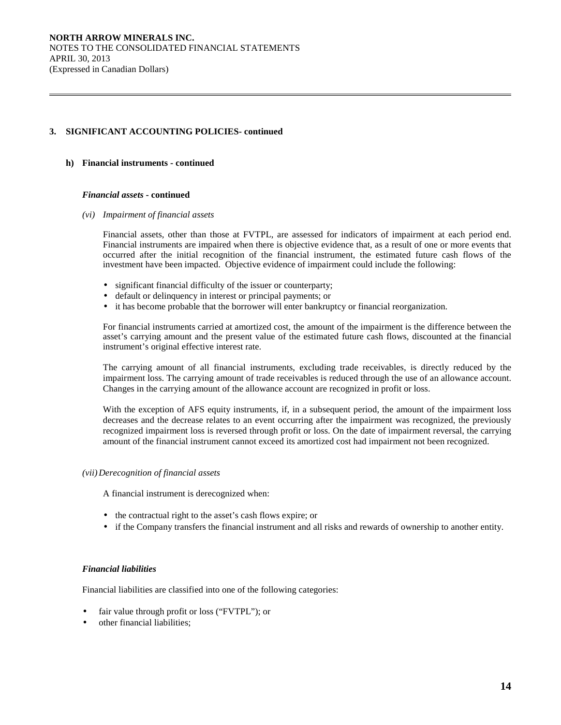# **3. SIGNIFICANT ACCOUNTING POLICIES- continued**

# **h) Financial instruments - continued**

 $\overline{a}$ 

#### *Financial assets* **- continued**

*(vi) Impairment of financial assets* 

 Financial assets, other than those at FVTPL, are assessed for indicators of impairment at each period end. Financial instruments are impaired when there is objective evidence that, as a result of one or more events that occurred after the initial recognition of the financial instrument, the estimated future cash flows of the investment have been impacted. Objective evidence of impairment could include the following:

- significant financial difficulty of the issuer or counterparty;
- default or delinquency in interest or principal payments; or
- it has become probable that the borrower will enter bankruptcy or financial reorganization.

For financial instruments carried at amortized cost, the amount of the impairment is the difference between the asset's carrying amount and the present value of the estimated future cash flows, discounted at the financial instrument's original effective interest rate.

The carrying amount of all financial instruments, excluding trade receivables, is directly reduced by the impairment loss. The carrying amount of trade receivables is reduced through the use of an allowance account. Changes in the carrying amount of the allowance account are recognized in profit or loss.

With the exception of AFS equity instruments, if, in a subsequent period, the amount of the impairment loss decreases and the decrease relates to an event occurring after the impairment was recognized, the previously recognized impairment loss is reversed through profit or loss. On the date of impairment reversal, the carrying amount of the financial instrument cannot exceed its amortized cost had impairment not been recognized.

#### *(vii)Derecognition of financial assets*

A financial instrument is derecognized when:

- the contractual right to the asset's cash flows expire; or
- if the Company transfers the financial instrument and all risks and rewards of ownership to another entity.

# *Financial liabilities*

Financial liabilities are classified into one of the following categories:

- fair value through profit or loss ("FVTPL"); or
- other financial liabilities;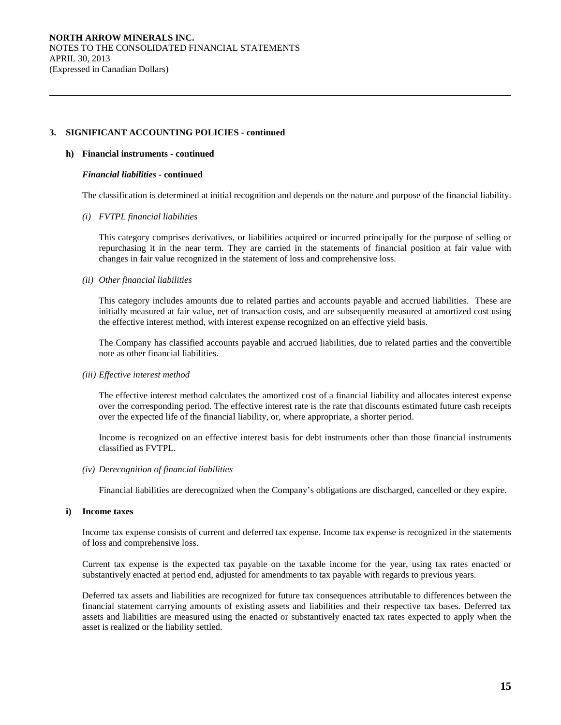# **3. SIGNIFICANT ACCOUNTING POLICIES - continued**

## **h) Financial instruments - continued**

 $\overline{a}$ 

## *Financial liabilities* **- continued**

The classification is determined at initial recognition and depends on the nature and purpose of the financial liability.

## *(i) FVTPL financial liabilities*

 This category comprises derivatives, or liabilities acquired or incurred principally for the purpose of selling or repurchasing it in the near term. They are carried in the statements of financial position at fair value with changes in fair value recognized in the statement of loss and comprehensive loss.

## *(ii) Other financial liabilities*

 This category includes amounts due to related parties and accounts payable and accrued liabilities. These are initially measured at fair value, net of transaction costs, and are subsequently measured at amortized cost using the effective interest method, with interest expense recognized on an effective yield basis.

 The Company has classified accounts payable and accrued liabilities, due to related parties and the convertible note as other financial liabilities.

# *(iii) Effective interest method*

 The effective interest method calculates the amortized cost of a financial liability and allocates interest expense over the corresponding period. The effective interest rate is the rate that discounts estimated future cash receipts over the expected life of the financial liability, or, where appropriate, a shorter period.

 Income is recognized on an effective interest basis for debt instruments other than those financial instruments classified as FVTPL.

#### *(iv) Derecognition of financial liabilities*

Financial liabilities are derecognized when the Company's obligations are discharged, cancelled or they expire.

#### **i) Income taxes**

 Income tax expense consists of current and deferred tax expense. Income tax expense is recognized in the statements of loss and comprehensive loss.

 Current tax expense is the expected tax payable on the taxable income for the year, using tax rates enacted or substantively enacted at period end, adjusted for amendments to tax payable with regards to previous years.

 Deferred tax assets and liabilities are recognized for future tax consequences attributable to differences between the financial statement carrying amounts of existing assets and liabilities and their respective tax bases. Deferred tax assets and liabilities are measured using the enacted or substantively enacted tax rates expected to apply when the asset is realized or the liability settled.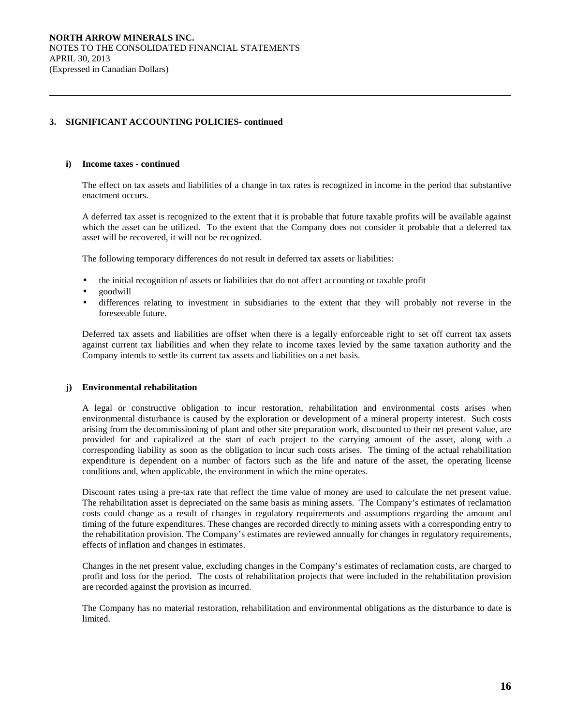# **3. SIGNIFICANT ACCOUNTING POLICIES- continued**

#### **i) Income taxes - continued**

 $\overline{a}$ 

 The effect on tax assets and liabilities of a change in tax rates is recognized in income in the period that substantive enactment occurs.

 A deferred tax asset is recognized to the extent that it is probable that future taxable profits will be available against which the asset can be utilized. To the extent that the Company does not consider it probable that a deferred tax asset will be recovered, it will not be recognized.

The following temporary differences do not result in deferred tax assets or liabilities:

- the initial recognition of assets or liabilities that do not affect accounting or taxable profit
- goodwill
- differences relating to investment in subsidiaries to the extent that they will probably not reverse in the foreseeable future.

 Deferred tax assets and liabilities are offset when there is a legally enforceable right to set off current tax assets against current tax liabilities and when they relate to income taxes levied by the same taxation authority and the Company intends to settle its current tax assets and liabilities on a net basis.

#### **j) Environmental rehabilitation**

 A legal or constructive obligation to incur restoration, rehabilitation and environmental costs arises when environmental disturbance is caused by the exploration or development of a mineral property interest. Such costs arising from the decommissioning of plant and other site preparation work, discounted to their net present value, are provided for and capitalized at the start of each project to the carrying amount of the asset, along with a corresponding liability as soon as the obligation to incur such costs arises. The timing of the actual rehabilitation expenditure is dependent on a number of factors such as the life and nature of the asset, the operating license conditions and, when applicable, the environment in which the mine operates.

 Discount rates using a pre-tax rate that reflect the time value of money are used to calculate the net present value. The rehabilitation asset is depreciated on the same basis as mining assets. The Company's estimates of reclamation costs could change as a result of changes in regulatory requirements and assumptions regarding the amount and timing of the future expenditures. These changes are recorded directly to mining assets with a corresponding entry to the rehabilitation provision. The Company's estimates are reviewed annually for changes in regulatory requirements, effects of inflation and changes in estimates.

 Changes in the net present value, excluding changes in the Company's estimates of reclamation costs, are charged to profit and loss for the period. The costs of rehabilitation projects that were included in the rehabilitation provision are recorded against the provision as incurred.

 The Company has no material restoration, rehabilitation and environmental obligations as the disturbance to date is limited.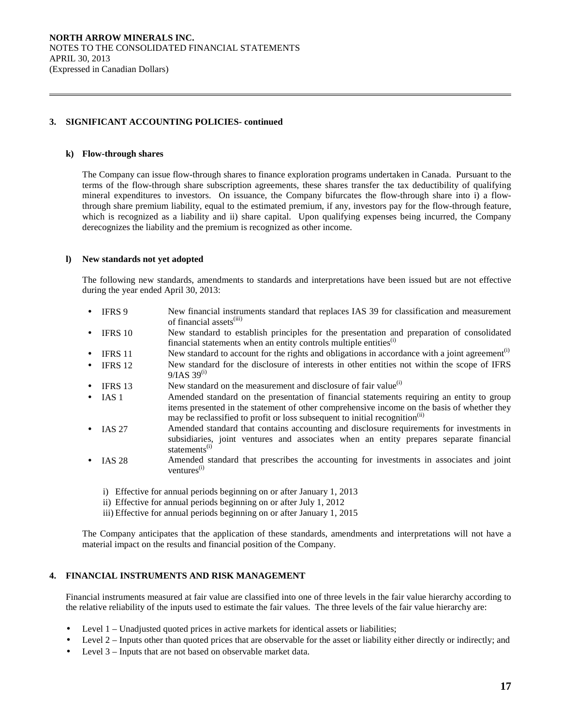# **3. SIGNIFICANT ACCOUNTING POLICIES- continued**

#### **k) Flow-through shares**

 $\overline{a}$ 

The Company can issue flow-through shares to finance exploration programs undertaken in Canada. Pursuant to the terms of the flow-through share subscription agreements, these shares transfer the tax deductibility of qualifying mineral expenditures to investors. On issuance, the Company bifurcates the flow-through share into i) a flowthrough share premium liability, equal to the estimated premium, if any, investors pay for the flow-through feature, which is recognized as a liability and ii) share capital. Upon qualifying expenses being incurred, the Company derecognizes the liability and the premium is recognized as other income.

#### **l) New standards not yet adopted**

The following new standards, amendments to standards and interpretations have been issued but are not effective during the year ended April 30, 2013:

- IFRS 9 New financial instruments standard that replaces IAS 39 for classification and measurement of financial assets<sup>(iii)</sup>
- IFRS 10 New standard to establish principles for the presentation and preparation of consolidated financial statements when an entity controls multiple entities $^{(i)}$
- IFRS 11 New standard to account for the rights and obligations in accordance with a joint agreement<sup>(i)</sup>
- IFRS 12 New standard for the disclosure of interests in other entities not within the scope of IFRS  $9/IAS$  39<sup>(i)</sup>
- IFRS 13 New standard on the measurement and disclosure of fair value<sup>(i)</sup>
- IAS 1 Amended standard on the presentation of financial statements requiring an entity to group items presented in the statement of other comprehensive income on the basis of whether they may be reclassified to profit or loss subsequent to initial recognition<sup>(ii)</sup>
- IAS 27 Amended standard that contains accounting and disclosure requirements for investments in subsidiaries, joint ventures and associates when an entity prepares separate financial statements<sup>(i)</sup>
- IAS 28 Amended standard that prescribes the accounting for investments in associates and joint ventures<sup>(i)</sup>
	- i) Effective for annual periods beginning on or after January 1, 2013
	- ii) Effective for annual periods beginning on or after July 1, 2012
	- iii) Effective for annual periods beginning on or after January 1, 2015

The Company anticipates that the application of these standards, amendments and interpretations will not have a material impact on the results and financial position of the Company.

# **4. FINANCIAL INSTRUMENTS AND RISK MANAGEMENT**

Financial instruments measured at fair value are classified into one of three levels in the fair value hierarchy according to the relative reliability of the inputs used to estimate the fair values. The three levels of the fair value hierarchy are:

- Level 1 Unadjusted quoted prices in active markets for identical assets or liabilities;
- Level 2 Inputs other than quoted prices that are observable for the asset or liability either directly or indirectly; and
- Level 3 Inputs that are not based on observable market data.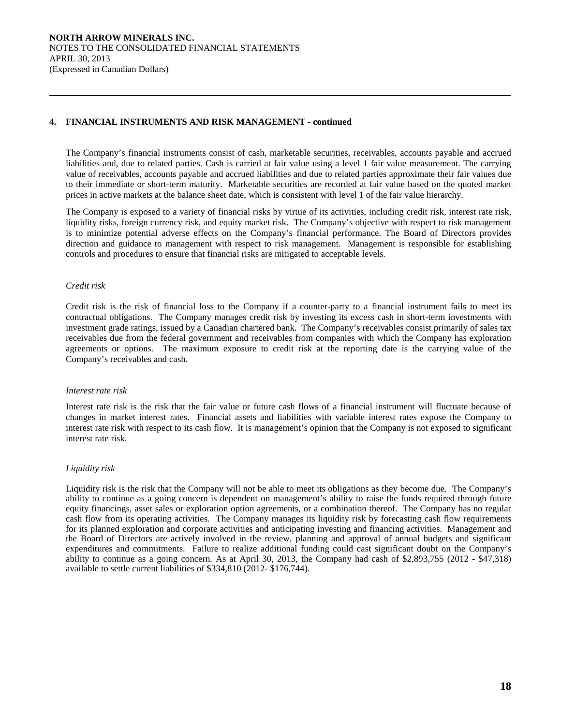# **4. FINANCIAL INSTRUMENTS AND RISK MANAGEMENT - continued**

The Company's financial instruments consist of cash, marketable securities, receivables, accounts payable and accrued liabilities and, due to related parties. Cash is carried at fair value using a level 1 fair value measurement. The carrying value of receivables, accounts payable and accrued liabilities and due to related parties approximate their fair values due to their immediate or short-term maturity. Marketable securities are recorded at fair value based on the quoted market prices in active markets at the balance sheet date, which is consistent with level 1 of the fair value hierarchy.

The Company is exposed to a variety of financial risks by virtue of its activities, including credit risk, interest rate risk, liquidity risks, foreign currency risk, and equity market risk. The Company's objective with respect to risk management is to minimize potential adverse effects on the Company's financial performance. The Board of Directors provides direction and guidance to management with respect to risk management. Management is responsible for establishing controls and procedures to ensure that financial risks are mitigated to acceptable levels.

## *Credit risk*

 $\overline{a}$ 

Credit risk is the risk of financial loss to the Company if a counter-party to a financial instrument fails to meet its contractual obligations. The Company manages credit risk by investing its excess cash in short-term investments with investment grade ratings, issued by a Canadian chartered bank. The Company's receivables consist primarily of sales tax receivables due from the federal government and receivables from companies with which the Company has exploration agreements or options. The maximum exposure to credit risk at the reporting date is the carrying value of the Company's receivables and cash.

#### *Interest rate risk*

Interest rate risk is the risk that the fair value or future cash flows of a financial instrument will fluctuate because of changes in market interest rates. Financial assets and liabilities with variable interest rates expose the Company to interest rate risk with respect to its cash flow. It is management's opinion that the Company is not exposed to significant interest rate risk.

# *Liquidity risk*

Liquidity risk is the risk that the Company will not be able to meet its obligations as they become due. The Company's ability to continue as a going concern is dependent on management's ability to raise the funds required through future equity financings, asset sales or exploration option agreements, or a combination thereof. The Company has no regular cash flow from its operating activities. The Company manages its liquidity risk by forecasting cash flow requirements for its planned exploration and corporate activities and anticipating investing and financing activities. Management and the Board of Directors are actively involved in the review, planning and approval of annual budgets and significant expenditures and commitments. Failure to realize additional funding could cast significant doubt on the Company's ability to continue as a going concern. As at April 30, 2013, the Company had cash of \$2,893,755 (2012 - \$47,318) available to settle current liabilities of \$334,810 (2012- \$176,744).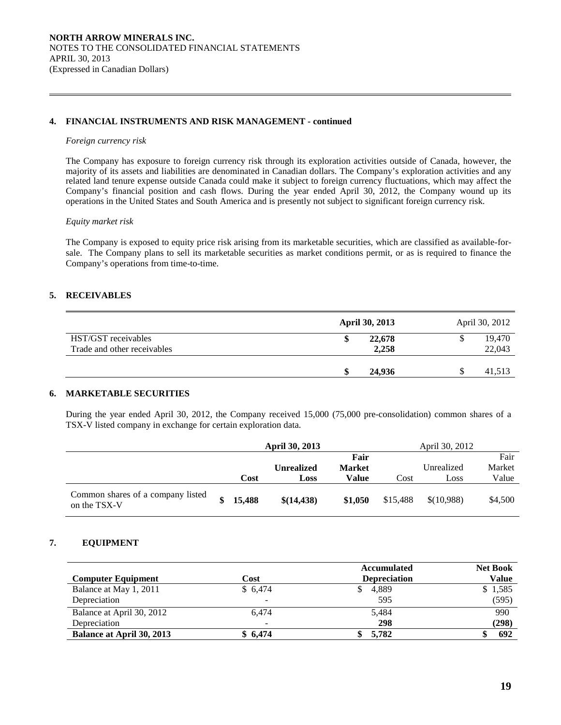# **4. FINANCIAL INSTRUMENTS AND RISK MANAGEMENT - continued**

#### *Foreign currency risk*

 $\overline{a}$ 

 The Company has exposure to foreign currency risk through its exploration activities outside of Canada, however, the majority of its assets and liabilities are denominated in Canadian dollars. The Company's exploration activities and any related land tenure expense outside Canada could make it subject to foreign currency fluctuations, which may affect the Company's financial position and cash flows. During the year ended April 30, 2012, the Company wound up its operations in the United States and South America and is presently not subject to significant foreign currency risk.

## *Equity market risk*

The Company is exposed to equity price risk arising from its marketable securities, which are classified as available-forsale. The Company plans to sell its marketable securities as market conditions permit, or as is required to finance the Company's operations from time-to-time.

# **5. RECEIVABLES**

|                                                    | <b>April 30, 2013</b> | April 30, 2012   |
|----------------------------------------------------|-----------------------|------------------|
| HST/GST receivables<br>Trade and other receivables | 22,678<br>2,258       | 19,470<br>22,043 |
|                                                    |                       |                  |
|                                                    | 24,936                | 41,513           |

# **6. MARKETABLE SECURITIES**

During the year ended April 30, 2012, the Company received 15,000 (75,000 pre-consolidation) common shares of a TSX-V listed company in exchange for certain exploration data.

|                                                   | <b>April 30, 2013</b> |                   |               |          | April 30, 2012 |         |
|---------------------------------------------------|-----------------------|-------------------|---------------|----------|----------------|---------|
|                                                   |                       |                   | Fair          |          |                | Fair    |
|                                                   |                       | <b>Unrealized</b> | <b>Market</b> |          | Unrealized     | Market  |
|                                                   | Cost                  | Loss              | Value         | Cost     | Loss           | Value   |
| Common shares of a company listed<br>on the TSX-V | 15,488                | \$(14,438)        | \$1,050       | \$15,488 | \$(10,988)     | \$4,500 |

# **7. EQUIPMENT**

|                                  |                          | <b>Accumulated</b>  | <b>Net Book</b> |
|----------------------------------|--------------------------|---------------------|-----------------|
| <b>Computer Equipment</b>        | Cost                     | <b>Depreciation</b> | Value           |
| Balance at May 1, 2011           | \$6.474                  | 4,889               | \$1,585         |
| Depreciation                     | -                        | 595                 | (595)           |
| Balance at April 30, 2012        | 6.474                    | 5,484               | 990             |
| Depreciation                     | $\overline{\phantom{0}}$ | 298                 | (298)           |
| <b>Balance at April 30, 2013</b> | \$6,474                  | 5.782               | 692             |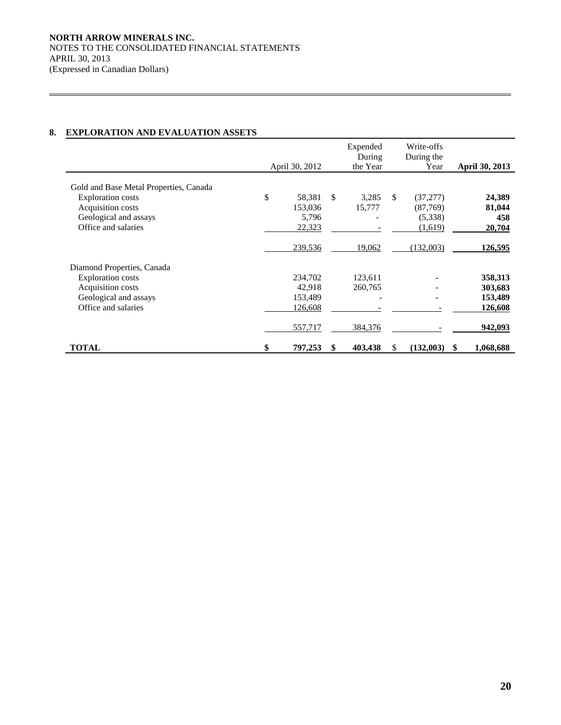# **8. EXPLORATION AND EVALUATION ASSETS**

 $\overline{a}$ 

|                                        | April 30, 2012 |               | Expended<br>During<br>the Year |    | Write-offs<br>During the<br>Year |   | <b>April 30, 2013</b> |
|----------------------------------------|----------------|---------------|--------------------------------|----|----------------------------------|---|-----------------------|
| Gold and Base Metal Properties, Canada |                |               |                                |    |                                  |   |                       |
| <b>Exploration costs</b>               | \$<br>58,381   | <sup>\$</sup> | 3,285                          | \$ | (37, 277)                        |   | 24,389                |
| Acquisition costs                      | 153,036        |               | 15,777                         |    | (87,769)                         |   | 81,044                |
| Geological and assays                  | 5,796          |               |                                |    | (5,338)                          |   | 458                   |
| Office and salaries                    | 22,323         |               |                                |    | (1,619)                          |   | 20,704                |
|                                        | 239,536        |               | 19,062                         |    | (132,003)                        |   | 126,595               |
| Diamond Properties, Canada             |                |               |                                |    |                                  |   |                       |
| <b>Exploration costs</b>               | 234,702        |               | 123,611                        |    |                                  |   | 358,313               |
| Acquisition costs                      | 42,918         |               | 260,765                        |    |                                  |   | 303,683               |
| Geological and assays                  | 153,489        |               |                                |    |                                  |   | 153,489               |
| Office and salaries                    | 126,608        |               |                                |    |                                  |   | 126,608               |
|                                        | 557,717        |               | 384,376                        |    |                                  |   | 942,093               |
| <b>TOTAL</b>                           | \$<br>797,253  | \$            | 403,438                        | S  | (132,003)                        | S | 1,068,688             |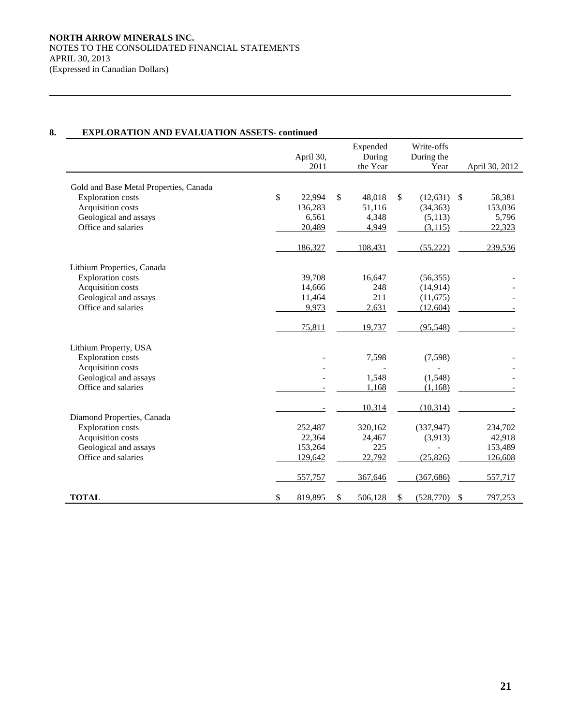$\overline{a}$ 

# **8. EXPLORATION AND EVALUATION ASSETS- continued**

|                                                                                                                                         | April 30,<br>2011                          | Expended<br>During<br>the Year           | Write-offs<br>During the<br>Year                    |              | April 30, 2012                       |
|-----------------------------------------------------------------------------------------------------------------------------------------|--------------------------------------------|------------------------------------------|-----------------------------------------------------|--------------|--------------------------------------|
| Gold and Base Metal Properties, Canada<br><b>Exploration costs</b><br>Acquisition costs<br>Geological and assays<br>Office and salaries | \$<br>22,994<br>136,283<br>6,561<br>20,489 | \$<br>48,018<br>51,116<br>4,348<br>4,949 | \$<br>(12, 631)<br>(34, 363)<br>(5,113)<br>(3, 115) | $\mathbb{S}$ | 58,381<br>153,036<br>5,796<br>22,323 |
|                                                                                                                                         | 186,327                                    | 108,431                                  | (55, 222)                                           |              | 239,536                              |
| Lithium Properties, Canada<br><b>Exploration</b> costs<br>Acquisition costs<br>Geological and assays<br>Office and salaries             | 39,708<br>14,666<br>11,464<br>9,973        | 16,647<br>248<br>211<br>2,631            | (56, 355)<br>(14, 914)<br>(11,675)<br>(12,604)      |              |                                      |
| Lithium Property, USA                                                                                                                   | 75,811                                     | 19,737                                   | (95, 548)                                           |              |                                      |
| <b>Exploration</b> costs<br>Acquisition costs<br>Geological and assays                                                                  |                                            | 7,598<br>1,548                           | (7,598)<br>(1,548)                                  |              |                                      |
| Office and salaries                                                                                                                     |                                            | 1,168                                    | (1, 168)                                            |              |                                      |
| Diamond Properties, Canada                                                                                                              |                                            | 10,314                                   | (10, 314)                                           |              |                                      |
| <b>Exploration costs</b><br>Acquisition costs                                                                                           | 252,487<br>22,364                          | 320,162<br>24,467                        | (337, 947)<br>(3,913)                               |              | 234,702<br>42,918                    |
| Geological and assays<br>Office and salaries                                                                                            | 153,264<br>129,642                         | 225<br>22,792                            | (25, 826)                                           |              | 153,489<br>126,608                   |
|                                                                                                                                         | 557,757                                    | 367,646                                  | (367, 686)                                          |              | 557,717                              |
| <b>TOTAL</b>                                                                                                                            | \$<br>819,895                              | \$<br>506,128                            | \$<br>(528, 770)                                    | \$           | 797,253                              |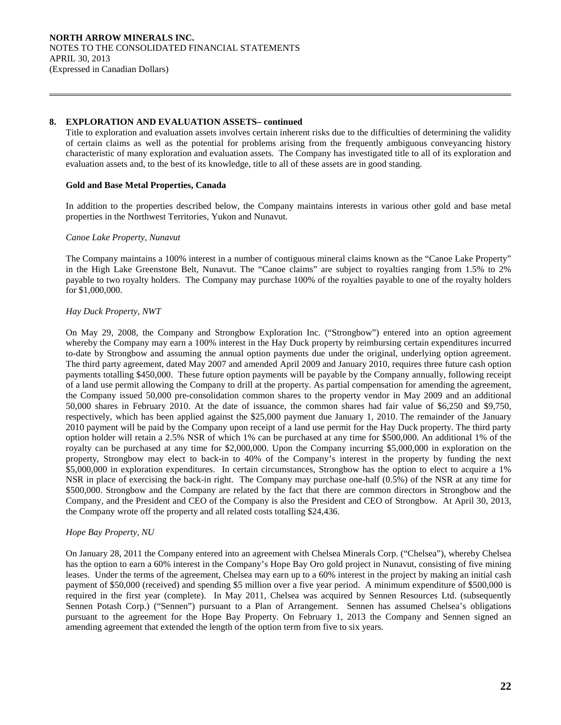## **8. EXPLORATION AND EVALUATION ASSETS– continued**

 Title to exploration and evaluation assets involves certain inherent risks due to the difficulties of determining the validity of certain claims as well as the potential for problems arising from the frequently ambiguous conveyancing history characteristic of many exploration and evaluation assets. The Company has investigated title to all of its exploration and evaluation assets and, to the best of its knowledge, title to all of these assets are in good standing.

# **Gold and Base Metal Properties, Canada**

 In addition to the properties described below, the Company maintains interests in various other gold and base metal properties in the Northwest Territories, Yukon and Nunavut.

## *Canoe Lake Property, Nunavut*

 $\overline{a}$ 

 The Company maintains a 100% interest in a number of contiguous mineral claims known as the "Canoe Lake Property" in the High Lake Greenstone Belt, Nunavut. The "Canoe claims" are subject to royalties ranging from 1.5% to 2% payable to two royalty holders. The Company may purchase 100% of the royalties payable to one of the royalty holders for \$1,000,000.

## *Hay Duck Property, NWT*

On May 29, 2008, the Company and Strongbow Exploration Inc. ("Strongbow") entered into an option agreement whereby the Company may earn a 100% interest in the Hay Duck property by reimbursing certain expenditures incurred to-date by Strongbow and assuming the annual option payments due under the original, underlying option agreement. The third party agreement, dated May 2007 and amended April 2009 and January 2010, requires three future cash option payments totalling \$450,000. These future option payments will be payable by the Company annually, following receipt of a land use permit allowing the Company to drill at the property. As partial compensation for amending the agreement, the Company issued 50,000 pre-consolidation common shares to the property vendor in May 2009 and an additional 50,000 shares in February 2010. At the date of issuance, the common shares had fair value of \$6,250 and \$9,750, respectively, which has been applied against the \$25,000 payment due January 1, 2010. The remainder of the January 2010 payment will be paid by the Company upon receipt of a land use permit for the Hay Duck property. The third party option holder will retain a 2.5% NSR of which 1% can be purchased at any time for \$500,000. An additional 1% of the royalty can be purchased at any time for \$2,000,000. Upon the Company incurring \$5,000,000 in exploration on the property, Strongbow may elect to back-in to 40% of the Company's interest in the property by funding the next \$5,000,000 in exploration expenditures. In certain circumstances, Strongbow has the option to elect to acquire a 1% NSR in place of exercising the back-in right. The Company may purchase one-half (0.5%) of the NSR at any time for \$500,000. Strongbow and the Company are related by the fact that there are common directors in Strongbow and the Company, and the President and CEO of the Company is also the President and CEO of Strongbow. At April 30, 2013, the Company wrote off the property and all related costs totalling \$24,436.

# *Hope Bay Property, NU*

On January 28, 2011 the Company entered into an agreement with Chelsea Minerals Corp. ("Chelsea"), whereby Chelsea has the option to earn a 60% interest in the Company's Hope Bay Oro gold project in Nunavut, consisting of five mining leases. Under the terms of the agreement, Chelsea may earn up to a 60% interest in the project by making an initial cash payment of \$50,000 (received) and spending \$5 million over a five year period. A minimum expenditure of \$500,000 is required in the first year (complete). In May 2011, Chelsea was acquired by Sennen Resources Ltd. (subsequently Sennen Potash Corp.) ("Sennen") pursuant to a Plan of Arrangement. Sennen has assumed Chelsea's obligations pursuant to the agreement for the Hope Bay Property. On February 1, 2013 the Company and Sennen signed an amending agreement that extended the length of the option term from five to six years.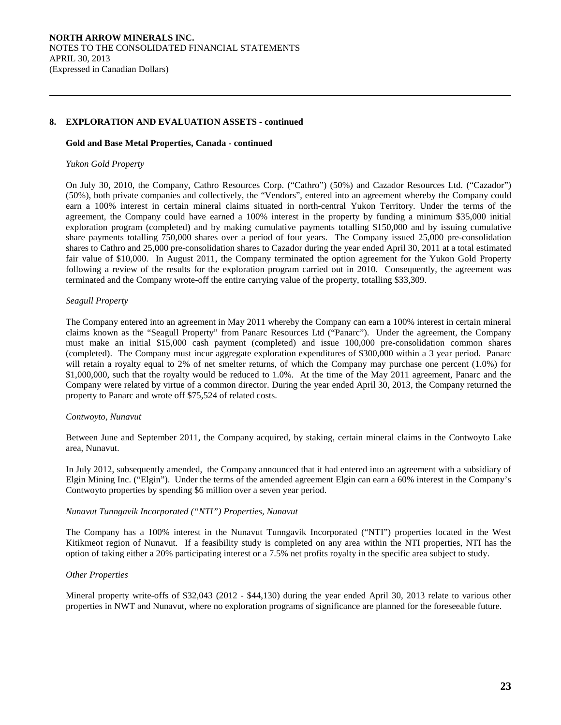# **8. EXPLORATION AND EVALUATION ASSETS - continued**

#### **Gold and Base Metal Properties, Canada - continued**

#### *Yukon Gold Property*

 $\overline{a}$ 

On July 30, 2010, the Company, Cathro Resources Corp. ("Cathro") (50%) and Cazador Resources Ltd. ("Cazador") (50%), both private companies and collectively, the "Vendors", entered into an agreement whereby the Company could earn a 100% interest in certain mineral claims situated in north-central Yukon Territory. Under the terms of the agreement, the Company could have earned a 100% interest in the property by funding a minimum \$35,000 initial exploration program (completed) and by making cumulative payments totalling \$150,000 and by issuing cumulative share payments totalling 750,000 shares over a period of four years. The Company issued 25,000 pre-consolidation shares to Cathro and 25,000 pre-consolidation shares to Cazador during the year ended April 30, 2011 at a total estimated fair value of \$10,000. In August 2011, the Company terminated the option agreement for the Yukon Gold Property following a review of the results for the exploration program carried out in 2010. Consequently, the agreement was terminated and the Company wrote-off the entire carrying value of the property, totalling \$33,309.

#### *Seagull Property*

The Company entered into an agreement in May 2011 whereby the Company can earn a 100% interest in certain mineral claims known as the "Seagull Property" from Panarc Resources Ltd ("Panarc"). Under the agreement, the Company must make an initial \$15,000 cash payment (completed) and issue 100,000 pre-consolidation common shares (completed). The Company must incur aggregate exploration expenditures of \$300,000 within a 3 year period. Panarc will retain a royalty equal to 2% of net smelter returns, of which the Company may purchase one percent (1.0%) for \$1,000,000, such that the royalty would be reduced to 1.0%. At the time of the May 2011 agreement, Panarc and the Company were related by virtue of a common director. During the year ended April 30, 2013, the Company returned the property to Panarc and wrote off \$75,524 of related costs.

#### *Contwoyto, Nunavut*

Between June and September 2011, the Company acquired, by staking, certain mineral claims in the Contwoyto Lake area, Nunavut.

In July 2012, subsequently amended, the Company announced that it had entered into an agreement with a subsidiary of Elgin Mining Inc. ("Elgin"). Under the terms of the amended agreement Elgin can earn a 60% interest in the Company's Contwoyto properties by spending \$6 million over a seven year period.

#### *Nunavut Tunngavik Incorporated ("NTI") Properties, Nunavut*

The Company has a 100% interest in the Nunavut Tunngavik Incorporated ("NTI") properties located in the West Kitikmeot region of Nunavut. If a feasibility study is completed on any area within the NTI properties, NTI has the option of taking either a 20% participating interest or a 7.5% net profits royalty in the specific area subject to study.

#### *Other Properties*

Mineral property write-offs of \$32,043 (2012 - \$44,130) during the year ended April 30, 2013 relate to various other properties in NWT and Nunavut, where no exploration programs of significance are planned for the foreseeable future.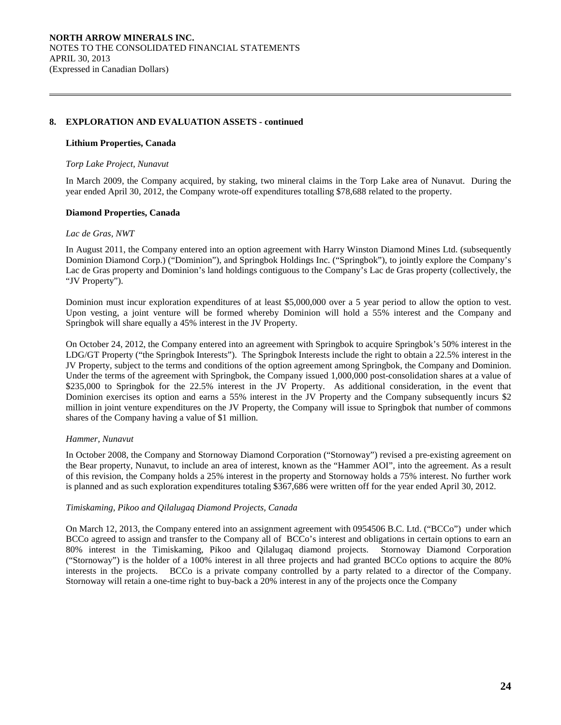# **8. EXPLORATION AND EVALUATION ASSETS - continued**

#### **Lithium Properties, Canada**

#### *Torp Lake Project, Nunavut*

In March 2009, the Company acquired, by staking, two mineral claims in the Torp Lake area of Nunavut. During the year ended April 30, 2012, the Company wrote-off expenditures totalling \$78,688 related to the property.

## **Diamond Properties, Canada**

#### *Lac de Gras, NWT*

 $\overline{a}$ 

In August 2011, the Company entered into an option agreement with Harry Winston Diamond Mines Ltd. (subsequently Dominion Diamond Corp.) ("Dominion"), and Springbok Holdings Inc. ("Springbok"), to jointly explore the Company's Lac de Gras property and Dominion's land holdings contiguous to the Company's Lac de Gras property (collectively, the "JV Property").

Dominion must incur exploration expenditures of at least \$5,000,000 over a 5 year period to allow the option to vest. Upon vesting, a joint venture will be formed whereby Dominion will hold a 55% interest and the Company and Springbok will share equally a 45% interest in the JV Property.

On October 24, 2012, the Company entered into an agreement with Springbok to acquire Springbok's 50% interest in the LDG/GT Property ("the Springbok Interests"). The Springbok Interests include the right to obtain a 22.5% interest in the JV Property, subject to the terms and conditions of the option agreement among Springbok, the Company and Dominion. Under the terms of the agreement with Springbok, the Company issued 1,000,000 post-consolidation shares at a value of \$235,000 to Springbok for the 22.5% interest in the JV Property. As additional consideration, in the event that Dominion exercises its option and earns a 55% interest in the JV Property and the Company subsequently incurs \$2 million in joint venture expenditures on the JV Property, the Company will issue to Springbok that number of commons shares of the Company having a value of \$1 million.

# *Hammer, Nunavut*

In October 2008, the Company and Stornoway Diamond Corporation ("Stornoway") revised a pre-existing agreement on the Bear property, Nunavut, to include an area of interest, known as the "Hammer AOI", into the agreement. As a result of this revision, the Company holds a 25% interest in the property and Stornoway holds a 75% interest. No further work is planned and as such exploration expenditures totaling \$367,686 were written off for the year ended April 30, 2012.

# *Timiskaming, Pikoo and Qilalugaq Diamond Projects, Canada*

On March 12, 2013, the Company entered into an assignment agreement with 0954506 B.C. Ltd. ("BCCo") under which BCCo agreed to assign and transfer to the Company all of BCCo's interest and obligations in certain options to earn an 80% interest in the Timiskaming, Pikoo and Qilalugaq diamond projects. Stornoway Diamond Corporation ("Stornoway") is the holder of a 100% interest in all three projects and had granted BCCo options to acquire the 80% interests in the projects. BCCo is a private company controlled by a party related to a director of the Company. Stornoway will retain a one-time right to buy-back a 20% interest in any of the projects once the Company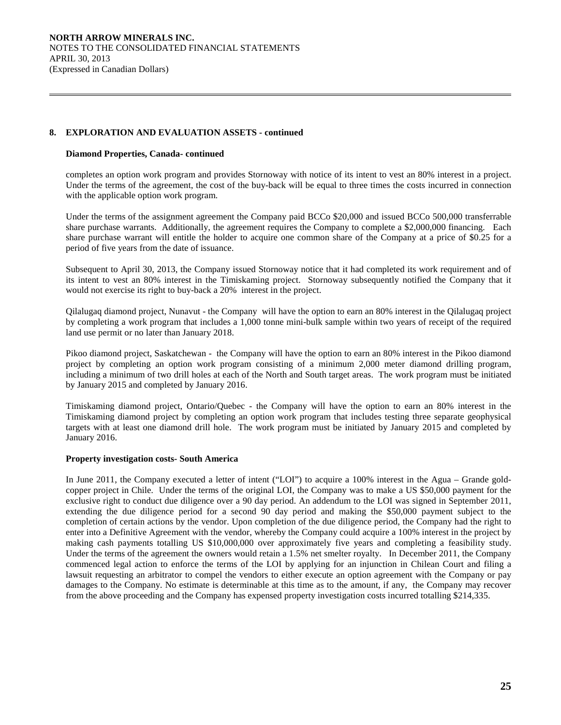# **8. EXPLORATION AND EVALUATION ASSETS - continued**

## **Diamond Properties, Canada- continued**

 $\overline{a}$ 

completes an option work program and provides Stornoway with notice of its intent to vest an 80% interest in a project. Under the terms of the agreement, the cost of the buy-back will be equal to three times the costs incurred in connection with the applicable option work program.

Under the terms of the assignment agreement the Company paid BCCo \$20,000 and issued BCCo 500,000 transferrable share purchase warrants. Additionally, the agreement requires the Company to complete a \$2,000,000 financing. Each share purchase warrant will entitle the holder to acquire one common share of the Company at a price of \$0.25 for a period of five years from the date of issuance.

Subsequent to April 30, 2013, the Company issued Stornoway notice that it had completed its work requirement and of its intent to vest an 80% interest in the Timiskaming project. Stornoway subsequently notified the Company that it would not exercise its right to buy-back a 20% interest in the project.

Qilalugaq diamond project, Nunavut - the Company will have the option to earn an 80% interest in the Qilalugaq project by completing a work program that includes a 1,000 tonne mini-bulk sample within two years of receipt of the required land use permit or no later than January 2018.

Pikoo diamond project, Saskatchewan - the Company will have the option to earn an 80% interest in the Pikoo diamond project by completing an option work program consisting of a minimum 2,000 meter diamond drilling program, including a minimum of two drill holes at each of the North and South target areas. The work program must be initiated by January 2015 and completed by January 2016.

Timiskaming diamond project, Ontario/Quebec - the Company will have the option to earn an 80% interest in the Timiskaming diamond project by completing an option work program that includes testing three separate geophysical targets with at least one diamond drill hole. The work program must be initiated by January 2015 and completed by January 2016.

# **Property investigation costs- South America**

In June 2011, the Company executed a letter of intent ("LOI") to acquire a 100% interest in the Agua – Grande goldcopper project in Chile. Under the terms of the original LOI, the Company was to make a US \$50,000 payment for the exclusive right to conduct due diligence over a 90 day period. An addendum to the LOI was signed in September 2011, extending the due diligence period for a second 90 day period and making the \$50,000 payment subject to the completion of certain actions by the vendor. Upon completion of the due diligence period, the Company had the right to enter into a Definitive Agreement with the vendor, whereby the Company could acquire a 100% interest in the project by making cash payments totalling US \$10,000,000 over approximately five years and completing a feasibility study. Under the terms of the agreement the owners would retain a 1.5% net smelter royalty. In December 2011, the Company commenced legal action to enforce the terms of the LOI by applying for an injunction in Chilean Court and filing a lawsuit requesting an arbitrator to compel the vendors to either execute an option agreement with the Company or pay damages to the Company. No estimate is determinable at this time as to the amount, if any, the Company may recover from the above proceeding and the Company has expensed property investigation costs incurred totalling \$214,335.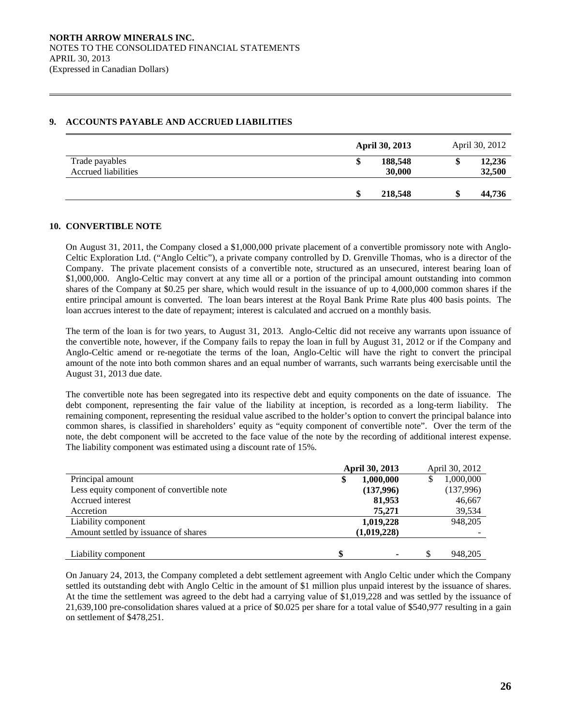# **9. ACCOUNTS PAYABLE AND ACCRUED LIABILITIES**

|                                              | <b>April 30, 2013</b>  | April 30, 2012         |
|----------------------------------------------|------------------------|------------------------|
| Trade payables<br><b>Accrued liabilities</b> | 188,548<br>Φ<br>30,000 | 12,236<br>\$<br>32,500 |
|                                              | 218,548<br>S           | 44,736<br>\$           |

# **10. CONVERTIBLE NOTE**

 $\overline{a}$ 

 On August 31, 2011, the Company closed a \$1,000,000 private placement of a convertible promissory note with Anglo-Celtic Exploration Ltd. ("Anglo Celtic"), a private company controlled by D. Grenville Thomas, who is a director of the Company. The private placement consists of a convertible note, structured as an unsecured, interest bearing loan of \$1,000,000. Anglo-Celtic may convert at any time all or a portion of the principal amount outstanding into common shares of the Company at \$0.25 per share, which would result in the issuance of up to 4,000,000 common shares if the entire principal amount is converted. The loan bears interest at the Royal Bank Prime Rate plus 400 basis points. The loan accrues interest to the date of repayment; interest is calculated and accrued on a monthly basis.

 The term of the loan is for two years, to August 31, 2013. Anglo-Celtic did not receive any warrants upon issuance of the convertible note, however, if the Company fails to repay the loan in full by August 31, 2012 or if the Company and Anglo-Celtic amend or re-negotiate the terms of the loan, Anglo-Celtic will have the right to convert the principal amount of the note into both common shares and an equal number of warrants, such warrants being exercisable until the August 31, 2013 due date.

The convertible note has been segregated into its respective debt and equity components on the date of issuance. The debt component, representing the fair value of the liability at inception, is recorded as a long-term liability. The remaining component, representing the residual value ascribed to the holder's option to convert the principal balance into common shares, is classified in shareholders' equity as "equity component of convertible note". Over the term of the note, the debt component will be accreted to the face value of the note by the recording of additional interest expense. The liability component was estimated using a discount rate of 15%.

|                                           | <b>April 30, 2013</b> |           |    | April 30, 2012 |
|-------------------------------------------|-----------------------|-----------|----|----------------|
| Principal amount                          |                       | 1,000,000 |    | 1,000,000      |
| Less equity component of convertible note |                       | (137,996) |    | (137,996)      |
| Accrued interest                          |                       | 81,953    |    | 46,667         |
| Accretion                                 |                       | 75,271    |    | 39,534         |
| Liability component                       |                       | 1,019,228 |    | 948,205        |
| Amount settled by issuance of shares      | (1,019,228)           |           |    |                |
|                                           |                       |           |    |                |
| Liability component                       | \$                    | ۰         | \$ | 948.205        |

On January 24, 2013, the Company completed a debt settlement agreement with Anglo Celtic under which the Company settled its outstanding debt with Anglo Celtic in the amount of \$1 million plus unpaid interest by the issuance of shares. At the time the settlement was agreed to the debt had a carrying value of \$1,019,228 and was settled by the issuance of 21,639,100 pre-consolidation shares valued at a price of \$0.025 per share for a total value of \$540,977 resulting in a gain on settlement of \$478,251.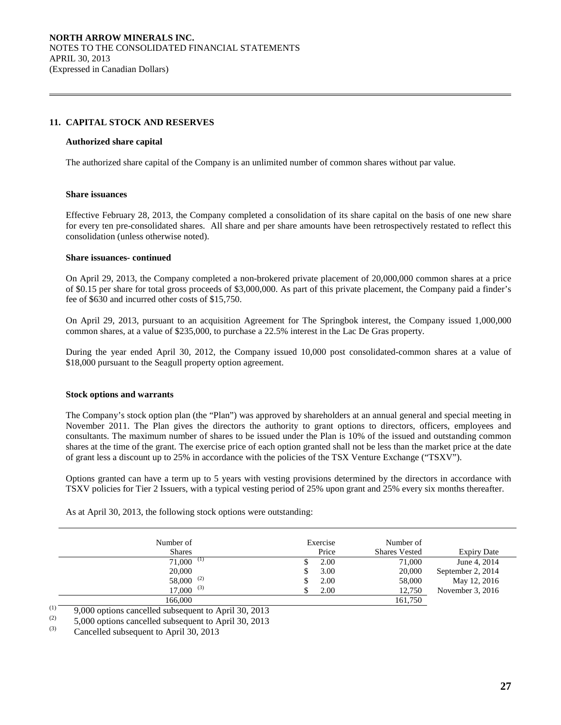# **11. CAPITAL STOCK AND RESERVES**

#### **Authorized share capital**

The authorized share capital of the Company is an unlimited number of common shares without par value.

#### **Share issuances**

 $\overline{a}$ 

Effective February 28, 2013, the Company completed a consolidation of its share capital on the basis of one new share for every ten pre-consolidated shares. All share and per share amounts have been retrospectively restated to reflect this consolidation (unless otherwise noted).

#### **Share issuances- continued**

On April 29, 2013, the Company completed a non-brokered private placement of 20,000,000 common shares at a price of \$0.15 per share for total gross proceeds of \$3,000,000. As part of this private placement, the Company paid a finder's fee of \$630 and incurred other costs of \$15,750.

On April 29, 2013, pursuant to an acquisition Agreement for The Springbok interest, the Company issued 1,000,000 common shares, at a value of \$235,000, to purchase a 22.5% interest in the Lac De Gras property.

During the year ended April 30, 2012, the Company issued 10,000 post consolidated-common shares at a value of \$18,000 pursuant to the Seagull property option agreement.

#### **Stock options and warrants**

 The Company's stock option plan (the "Plan") was approved by shareholders at an annual general and special meeting in November 2011. The Plan gives the directors the authority to grant options to directors, officers, employees and consultants. The maximum number of shares to be issued under the Plan is 10% of the issued and outstanding common shares at the time of the grant. The exercise price of each option granted shall not be less than the market price at the date of grant less a discount up to 25% in accordance with the policies of the TSX Venture Exchange ("TSXV").

Options granted can have a term up to 5 years with vesting provisions determined by the directors in accordance with TSXV policies for Tier 2 Issuers, with a typical vesting period of 25% upon grant and 25% every six months thereafter.

| Number of<br><b>Shares</b> | Exercise<br>Price | Number of<br><b>Shares Vested</b> | <b>Expiry Date</b> |
|----------------------------|-------------------|-----------------------------------|--------------------|
| 71,000<br>(1)              | 2.00              | 71,000                            | June 4, 2014       |
| 20,000                     | 3.00              | 20,000                            | September 2, 2014  |
| $58,000^{(2)}$             | 2.00              | 58,000                            | May 12, 2016       |
| $17,000^{-(3)}$            | 2.00              | 12,750                            | November $3, 2016$ |
| 166,000                    |                   | 161,750                           |                    |

As at April 30, 2013, the following stock options were outstanding:

 $\frac{(1)}{2}$  9,000 options cancelled subsequent to April 30, 2013

 $(2)$  5,000 options cancelled subsequent to April 30, 2013

Cancelled subsequent to April 30, 2013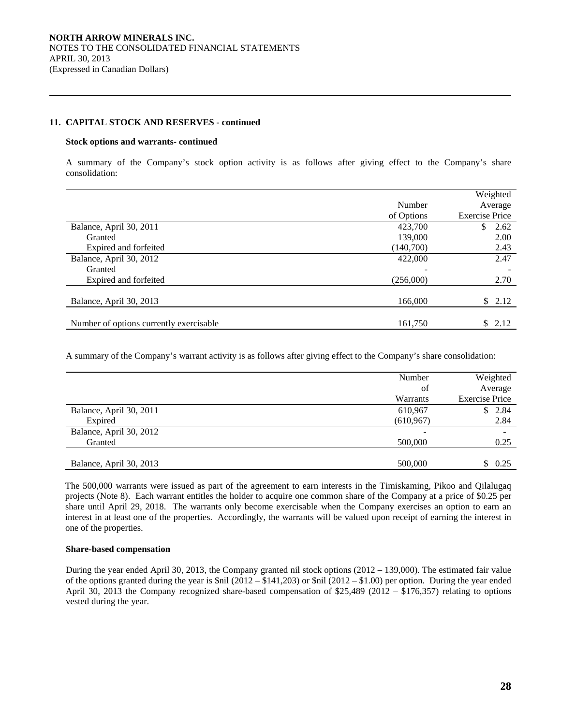## **11. CAPITAL STOCK AND RESERVES - continued**

#### **Stock options and warrants- continued**

 $\overline{a}$ 

 A summary of the Company's stock option activity is as follows after giving effect to the Company's share consolidation:

|                                         |            | Weighted              |
|-----------------------------------------|------------|-----------------------|
|                                         | Number     | Average               |
|                                         | of Options | <b>Exercise Price</b> |
| Balance, April 30, 2011                 | 423,700    | \$<br>2.62            |
| Granted                                 | 139,000    | 2.00                  |
| Expired and forfeited                   | (140,700)  | 2.43                  |
| Balance, April 30, 2012                 | 422,000    | 2.47                  |
| Granted                                 |            |                       |
| Expired and forfeited                   | (256,000)  | 2.70                  |
|                                         |            |                       |
| Balance, April 30, 2013                 | 166,000    | \$2.12                |
|                                         |            |                       |
| Number of options currently exercisable | 161,750    | \$2.12                |

A summary of the Company's warrant activity is as follows after giving effect to the Company's share consolidation:

|                         | Number     | Weighted              |
|-------------------------|------------|-----------------------|
|                         | οf         | Average               |
|                         | Warrants   | <b>Exercise Price</b> |
| Balance, April 30, 2011 | 610,967    | \$2.84                |
| Expired                 | (610, 967) | 2.84                  |
| Balance, April 30, 2012 |            |                       |
| Granted                 | 500,000    | 0.25                  |
|                         |            |                       |
| Balance, April 30, 2013 | 500,000    | \$<br>0.25            |

The 500,000 warrants were issued as part of the agreement to earn interests in the Timiskaming, Pikoo and Qilalugaq projects (Note 8). Each warrant entitles the holder to acquire one common share of the Company at a price of \$0.25 per share until April 29, 2018. The warrants only become exercisable when the Company exercises an option to earn an interest in at least one of the properties. Accordingly, the warrants will be valued upon receipt of earning the interest in one of the properties.

#### **Share-based compensation**

 During the year ended April 30, 2013, the Company granted nil stock options (2012 – 139,000). The estimated fair value of the options granted during the year is  $\text{\$nil}$  (2012 –  $\text{\$141,203}$ ) or  $\text{\$nil}$  (2012 –  $\text{\$1.00}$ ) per option. During the year ended April 30, 2013 the Company recognized share-based compensation of \$25,489 (2012 – \$176,357) relating to options vested during the year.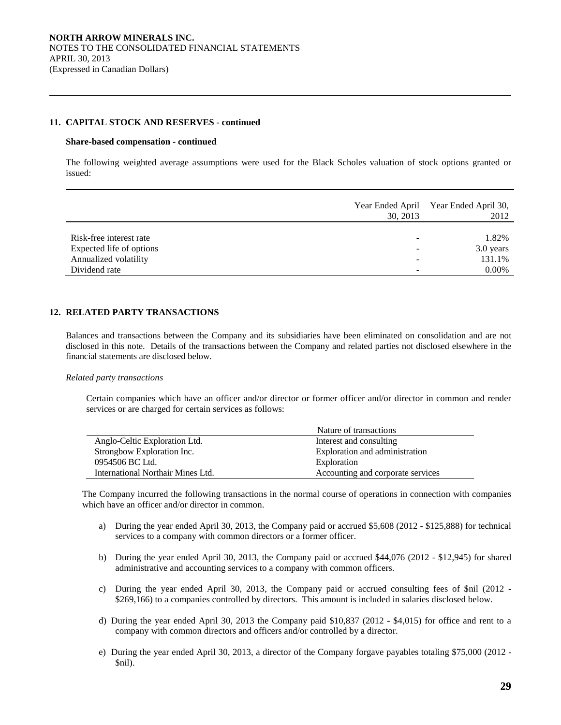## **11. CAPITAL STOCK AND RESERVES - continued**

#### **Share-based compensation - continued**

 $\overline{a}$ 

 The following weighted average assumptions were used for the Black Scholes valuation of stock options granted or issued:

|                          | 30, 2013 | Year Ended April Year Ended April 30,<br>2012 |
|--------------------------|----------|-----------------------------------------------|
|                          |          |                                               |
| Risk-free interest rate  |          | 1.82%                                         |
| Expected life of options |          | 3.0 years                                     |
| Annualized volatility    |          | 131.1%                                        |
| Dividend rate            |          | $0.00\%$                                      |

# **12. RELATED PARTY TRANSACTIONS**

Balances and transactions between the Company and its subsidiaries have been eliminated on consolidation and are not disclosed in this note. Details of the transactions between the Company and related parties not disclosed elsewhere in the financial statements are disclosed below.

# *Related party transactions*

Certain companies which have an officer and/or director or former officer and/or director in common and render services or are charged for certain services as follows:

|                                   | Nature of transactions            |
|-----------------------------------|-----------------------------------|
| Anglo-Celtic Exploration Ltd.     | Interest and consulting           |
| Strongbow Exploration Inc.        | Exploration and administration    |
| 0954506 BC Ltd.                   | Exploration                       |
| International Northair Mines Ltd. | Accounting and corporate services |

The Company incurred the following transactions in the normal course of operations in connection with companies which have an officer and/or director in common.

- a) During the year ended April 30, 2013, the Company paid or accrued \$5,608 (2012 \$125,888) for technical services to a company with common directors or a former officer.
- b) During the year ended April 30, 2013, the Company paid or accrued \$44,076 (2012 \$12,945) for shared administrative and accounting services to a company with common officers.
- c) During the year ended April 30, 2013, the Company paid or accrued consulting fees of \$nil (2012 \$269,166) to a companies controlled by directors. This amount is included in salaries disclosed below.
- d) During the year ended April 30, 2013 the Company paid \$10,837 (2012 \$4,015) for office and rent to a company with common directors and officers and/or controlled by a director.
- e) During the year ended April 30, 2013, a director of the Company forgave payables totaling \$75,000 (2012 \$nil).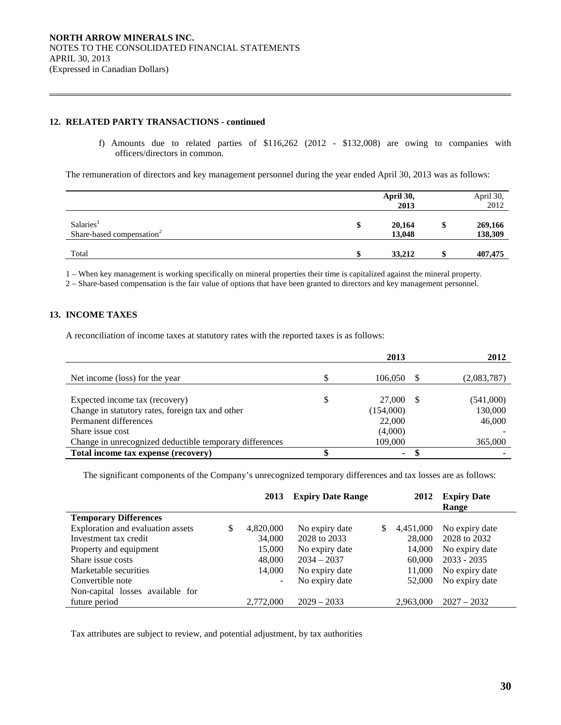# **12. RELATED PARTY TRANSACTIONS - continued**

f) Amounts due to related parties of \$116,262 (2012 - \$132,008) are owing to companies with officers/directors in common.

The remuneration of directors and key management personnel during the year ended April 30, 2013 was as follows:

|                                                                | April 30,<br>2013      |    | April 30,<br>2012  |
|----------------------------------------------------------------|------------------------|----|--------------------|
| Salaries <sup>1</sup><br>Share-based compensation <sup>2</sup> | \$<br>20,164<br>13,048 | \$ | 269,166<br>138,309 |
| Total                                                          | 33,212                 | -S | 407,475            |

1 – When key management is working specifically on mineral properties their time is capitalized against the mineral property.

2 – Share-based compensation is the fair value of options that have been granted to directors and key management personnel.

# **13. INCOME TAXES**

 $\overline{a}$ 

A reconciliation of income taxes at statutory rates with the reported taxes is as follows:

|                                                         | 2013      | 2012        |
|---------------------------------------------------------|-----------|-------------|
| Net income (loss) for the year                          | 106,050   | (2,083,787) |
|                                                         |           |             |
| Expected income tax (recovery)                          | 27,000    | (541,000)   |
| Change in statutory rates, foreign tax and other        | (154,000) | 130,000     |
| Permanent differences                                   | 22,000    | 46,000      |
| Share issue cost                                        | (4,000)   |             |
| Change in unrecognized deductible temporary differences | 109,000   | 365,000     |
| Total income tax expense (recovery)                     | ۰         |             |

The significant components of the Company's unrecognized temporary differences and tax losses are as follows:

|                                   | 2013            | <b>Expiry Date Range</b> | 2012            | <b>Expiry Date</b><br>Range |
|-----------------------------------|-----------------|--------------------------|-----------------|-----------------------------|
| <b>Temporary Differences</b>      |                 |                          |                 |                             |
| Exploration and evaluation assets | \$<br>4,820,000 | No expiry date           | \$<br>4,451,000 | No expiry date              |
| Investment tax credit             | 34,000          | 2028 to 2033             | 28,000          | 2028 to 2032                |
| Property and equipment            | 15,000          | No expiry date           | 14,000          | No expiry date              |
| Share issue costs                 | 48,000          | $2034 - 2037$            | 60,000          | $2033 - 2035$               |
| Marketable securities             | 14,000          | No expiry date           | 11,000          | No expiry date              |
| Convertible note                  |                 | No expiry date           | 52,000          | No expiry date              |
| Non-capital losses available for  |                 |                          |                 |                             |
| future period                     | 2,772,000       | $2029 - 2033$            | 2,963,000       | $2027 - 2032$               |

Tax attributes are subject to review, and potential adjustment, by tax authorities